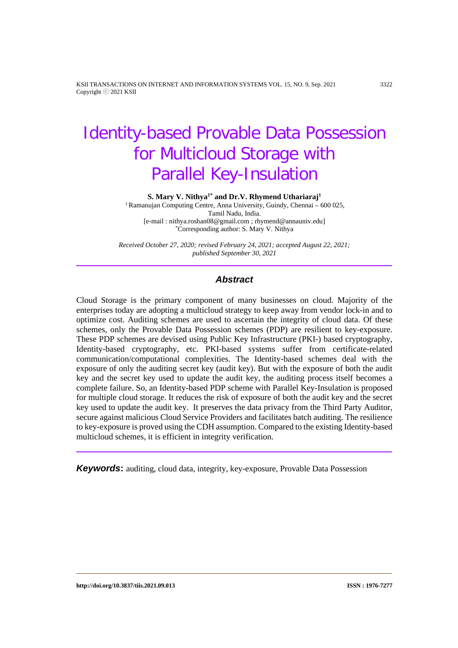KSII TRANSACTIONS ON INTERNET AND INFORMATION SYSTEMS VOL. 15, NO. 9, Sep. 2021 3322 Copyright ⓒ 2021 KSII

# Identity-based Provable Data Possession for Multicloud Storage with Parallel Key-Insulation

**S. Mary V. Nithya1\* and Dr.V. Rhymend Uthariaraj1**

<sup>1</sup> Ramanujan Computing Centre, Anna University, Guindy, Chennai – 600 025, Tamil Nadu, India. [e-mail : nithya.roshan08@gmail.com ; rhymend@annauniv.edu] \*Corresponding author: S. Mary V. Nithya

*Received October 27, 2020; revised February 24, 2021; accepted August 22, 2021; published September 30, 2021*

## *Abstract*

Cloud Storage is the primary component of many businesses on cloud. Majority of the enterprises today are adopting a multicloud strategy to keep away from vendor lock-in and to optimize cost. Auditing schemes are used to ascertain the integrity of cloud data. Of these schemes, only the Provable Data Possession schemes (PDP) are resilient to key-exposure. These PDP schemes are devised using Public Key Infrastructure (PKI-) based cryptography, Identity-based cryptography, etc. PKI-based systems suffer from certificate-related communication/computational complexities. The Identity-based schemes deal with the exposure of only the auditing secret key (audit key). But with the exposure of both the audit key and the secret key used to update the audit key, the auditing process itself becomes a complete failure. So, an Identity-based PDP scheme with Parallel Key-Insulation is proposed for multiple cloud storage. It reduces the risk of exposure of both the audit key and the secret key used to update the audit key. It preserves the data privacy from the Third Party Auditor, secure against malicious Cloud Service Providers and facilitates batch auditing. The resilience to key-exposure is proved using the CDH assumption. Compared to the existing Identity-based multicloud schemes, it is efficient in integrity verification.

*Keywords***:** auditing, cloud data, integrity, key-exposure, Provable Data Possession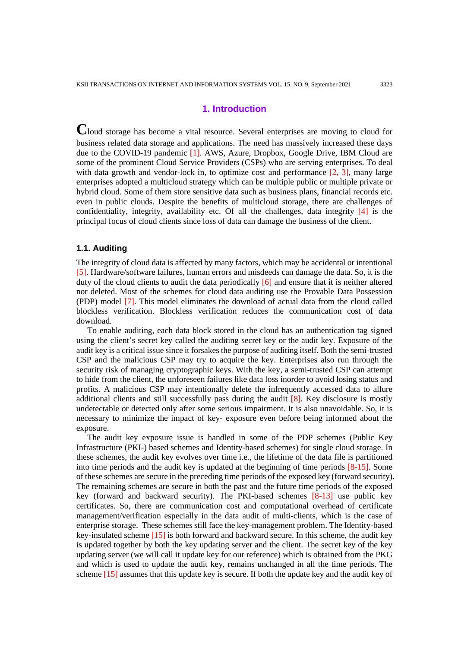# **1. Introduction**

**C**loud storage has become a vital resource. Several enterprises are moving to cloud for business related data storage and applications. The need has massively increased these days due to the COVID-19 pandemic [1]. AWS, Azure, Dropbox, Google Drive, IBM Cloud are some of the prominent Cloud Service Providers (CSPs) who are serving enterprises. To deal with data growth and vendor-lock in, to optimize cost and performance [2, 3], many large enterprises adopted a multicloud strategy which can be multiple public or multiple private or hybrid cloud. Some of them store sensitive data such as business plans, financial records etc. even in public clouds. Despite the benefits of multicloud storage, there are challenges of confidentiality, integrity, availability etc. Of all the challenges, data integrity  $[4]$  is the principal focus of cloud clients since loss of data can damage the business of the client.

## **1.1. Auditing**

The integrity of cloud data is affected by many factors, which may be accidental or intentional [5]. Hardware/software failures, human errors and misdeeds can damage the data. So, it is the duty of the cloud clients to audit the data periodically [6] and ensure that it is neither altered nor deleted. Most of the schemes for cloud data auditing use the Provable Data Possession (PDP) model [7]. This model eliminates the download of actual data from the cloud called blockless verification. Blockless verification reduces the communication cost of data download.

To enable auditing, each data block stored in the cloud has an authentication tag signed using the client's secret key called the auditing secret key or the audit key. Exposure of the audit key is a critical issue since it forsakes the purpose of auditing itself. Both the semi-trusted CSP and the malicious CSP may try to acquire the key. Enterprises also run through the security risk of managing cryptographic keys. With the key, a semi-trusted CSP can attempt to hide from the client, the unforeseen failures like data loss inorder to avoid losing status and profits. A malicious CSP may intentionally delete the infrequently accessed data to allure additional clients and still successfully pass during the audit  $[8]$ . Key disclosure is mostly undetectable or detected only after some serious impairment. It is also unavoidable. So, it is necessary to minimize the impact of key- exposure even before being informed about the exposure.

The audit key exposure issue is handled in some of the PDP schemes (Public Key Infrastructure (PKI-) based schemes and Identity-based schemes) for single cloud storage. In these schemes, the audit key evolves over time i.e., the lifetime of the data file is partitioned into time periods and the audit key is updated at the beginning of time periods [8-15]. Some of these schemes are secure in the preceding time periods of the exposed key (forward security). The remaining schemes are secure in both the past and the future time periods of the exposed key (forward and backward security). The PKI-based schemes [8-13] use public key certificates. So, there are communication cost and computational overhead of certificate management/verification especially in the data audit of multi-clients, which is the case of enterprise storage. These schemes still face the key-management problem. The Identity-based key-insulated scheme [15] is both forward and backward secure. In this scheme, the audit key is updated together by both the key updating server and the client. The secret key of the key updating server (we will call it update key for our reference) which is obtained from the PKG and which is used to update the audit key, remains unchanged in all the time periods. The scheme [15] assumes that this update key is secure. If both the update key and the audit key of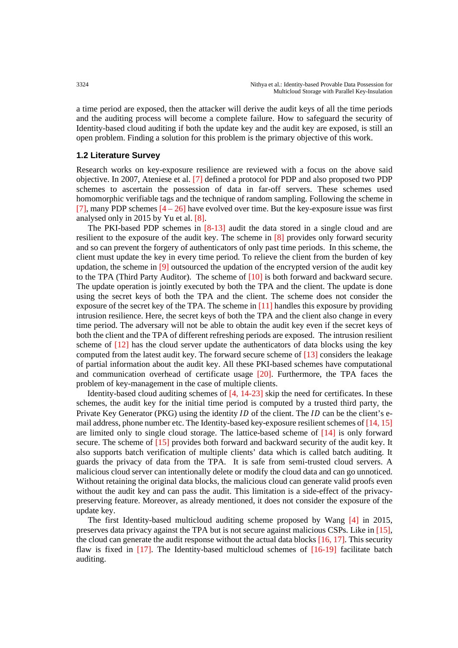a time period are exposed, then the attacker will derive the audit keys of all the time periods and the auditing process will become a complete failure. How to safeguard the security of Identity-based cloud auditing if both the update key and the audit key are exposed, is still an open problem. Finding a solution for this problem is the primary objective of this work.

#### **1.2 Literature Survey**

Research works on key-exposure resilience are reviewed with a focus on the above said objective. In 2007, Ateniese et al. [7] defined a protocol for PDP and also proposed two PDP schemes to ascertain the possession of data in far-off servers. These schemes used homomorphic verifiable tags and the technique of random sampling. Following the scheme in [7], many PDP schemes  $[4 - 26]$  have evolved over time. But the key-exposure issue was first analysed only in 2015 by Yu et al. [8].

The PKI-based PDP schemes in [8-13] audit the data stored in a single cloud and are resilient to the exposure of the audit key. The scheme in [8] provides only forward security and so can prevent the forgery of authenticators of only past time periods. In this scheme, the client must update the key in every time period. To relieve the client from the burden of key updation, the scheme in [9] outsourced the updation of the encrypted version of the audit key to the TPA (Third Party Auditor). The scheme of [10] is both forward and backward secure. The update operation is jointly executed by both the TPA and the client. The update is done using the secret keys of both the TPA and the client. The scheme does not consider the exposure of the secret key of the TPA. The scheme in  $[11]$  handles this exposure by providing intrusion resilience. Here, the secret keys of both the TPA and the client also change in every time period. The adversary will not be able to obtain the audit key even if the secret keys of both the client and the TPA of different refreshing periods are exposed. The intrusion resilient scheme of [12] has the cloud server update the authenticators of data blocks using the key computed from the latest audit key. The forward secure scheme of [13] considers the leakage of partial information about the audit key. All these PKI-based schemes have computational and communication overhead of certificate usage [20]. Furthermore, the TPA faces the problem of key-management in the case of multiple clients.

Identity-based cloud auditing schemes of [4, 14-23] skip the need for certificates. In these schemes, the audit key for the initial time period is computed by a trusted third party, the Private Key Generator (PKG) using the identity  $ID$  of the client. The  $ID$  can be the client's email address, phone number etc. The Identity-based key-exposure resilient schemes of [14, 15] are limited only to single cloud storage. The lattice-based scheme of [14] is only forward secure. The scheme of [15] provides both forward and backward security of the audit key. It also supports batch verification of multiple clients' data which is called batch auditing. It guards the privacy of data from the TPA. It is safe from semi-trusted cloud servers. A malicious cloud server can intentionally delete or modify the cloud data and can go unnoticed. Without retaining the original data blocks, the malicious cloud can generate valid proofs even without the audit key and can pass the audit. This limitation is a side-effect of the privacypreserving feature. Moreover, as already mentioned, it does not consider the exposure of the update key.

The first Identity-based multicloud auditing scheme proposed by Wang [4] in 2015, preserves data privacy against the TPA but is not secure against malicious CSPs. Like in [15], the cloud can generate the audit response without the actual data blocks  $[16, 17]$ . This security flaw is fixed in [17]. The Identity-based multicloud schemes of [16-19] facilitate batch auditing.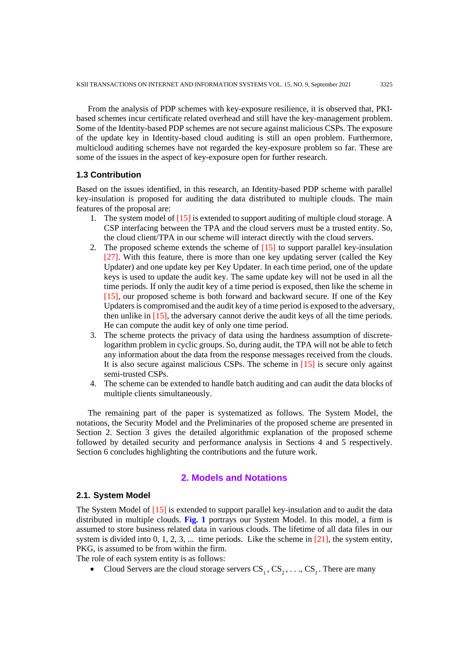From the analysis of PDP schemes with key-exposure resilience, it is observed that, PKIbased schemes incur certificate related overhead and still have the key-management problem. Some of the Identity-based PDP schemes are not secure against malicious CSPs. The exposure of the update key in Identity-based cloud auditing is still an open problem. Furthermore, multicloud auditing schemes have not regarded the key-exposure problem so far. These are some of the issues in the aspect of key-exposure open for further research.

#### **1.3 Contribution**

Based on the issues identified, in this research, an Identity-based PDP scheme with parallel key-insulation is proposed for auditing the data distributed to multiple clouds. The main features of the proposal are:

- 1. The system model of [15] is extended to support auditing of multiple cloud storage. A CSP interfacing between the TPA and the cloud servers must be a trusted entity. So, the cloud client/TPA in our scheme will interact directly with the cloud servers.
- 2. The proposed scheme extends the scheme of [15] to support parallel key-insulation [27]. With this feature, there is more than one key updating server (called the Key Updater) and one update key per Key Updater. In each time period, one of the update keys is used to update the audit key. The same update key will not be used in all the time periods. If only the audit key of a time period is exposed, then like the scheme in [15], our proposed scheme is both forward and backward secure. If one of the Key Updaters is compromised and the audit key of a time period is exposed to the adversary, then unlike in [15], the adversary cannot derive the audit keys of all the time periods. He can compute the audit key of only one time period.
- 3. The scheme protects the privacy of data using the hardness assumption of discretelogarithm problem in cyclic groups. So, during audit, the TPA will not be able to fetch any information about the data from the response messages received from the clouds. It is also secure against malicious CSPs. The scheme in [15] is secure only against semi-trusted CSPs.
- 4. The scheme can be extended to handle batch auditing and can audit the data blocks of multiple clients simultaneously.

The remaining part of the paper is systematized as follows. The System Model, the notations, the Security Model and the Preliminaries of the proposed scheme are presented in Section 2. Section 3 gives the detailed algorithmic explanation of the proposed scheme followed by detailed security and performance analysis in Sections 4 and 5 respectively. Section 6 concludes highlighting the contributions and the future work.

# **2. Models and Notations**

#### **2.1. System Model**

The System Model of [15] is extended to support parallel key-insulation and to audit the data distributed in multiple clouds. **Fig. 1** portrays our System Model. In this model, a firm is assumed to store business related data in various clouds. The lifetime of all data files in our system is divided into  $0, 1, 2, 3, \dots$  time periods. Like the scheme in [21], the system entity, PKG, is assumed to be from within the firm.

The role of each system entity is as follows:

Cloud Servers are the cloud storage servers  $CS_1, CS_2, \ldots, CS_r$ . There are many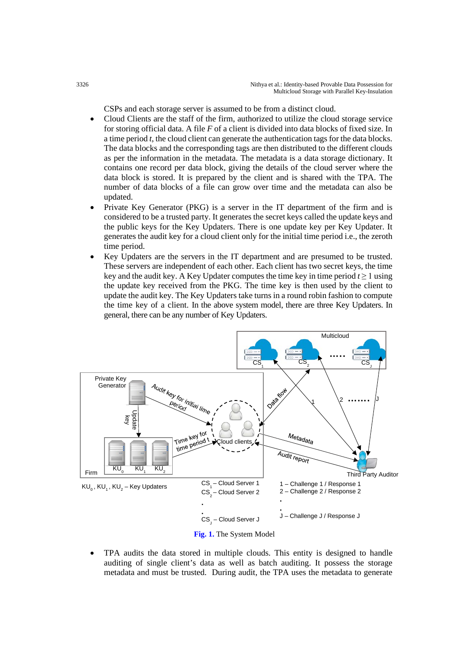CSPs and each storage server is assumed to be from a distinct cloud.

- Cloud Clients are the staff of the firm, authorized to utilize the cloud storage service for storing official data. A file *F* of a client is divided into data blocks of fixed size. In a time period *t*, the cloud client can generate the authentication tags for the data blocks. The data blocks and the corresponding tags are then distributed to the different clouds as per the information in the metadata. The metadata is a data storage dictionary. It contains one record per data block, giving the details of the cloud server where the data block is stored. It is prepared by the client and is shared with the TPA. The number of data blocks of a file can grow over time and the metadata can also be updated.
- Private Key Generator (PKG) is a server in the IT department of the firm and is considered to be a trusted party. It generates the secret keys called the update keys and the public keys for the Key Updaters. There is one update key per Key Updater. It generates the audit key for a cloud client only for the initial time period i.e., the zeroth time period.
- Key Updaters are the servers in the IT department and are presumed to be trusted. These servers are independent of each other. Each client has two secret keys, the time key and the audit key. A Key Updater computes the time key in time period  $t \ge 1$  using the update key received from the PKG. The time key is then used by the client to update the audit key. The Key Updaters take turns in a round robin fashion to compute the time key of a client. In the above system model, there are three Key Updaters. In general, there can be any number of Key Updaters.



• TPA audits the data stored in multiple clouds. This entity is designed to handle auditing of single client's data as well as batch auditing. It possess the storage metadata and must be trusted. During audit, the TPA uses the metadata to generate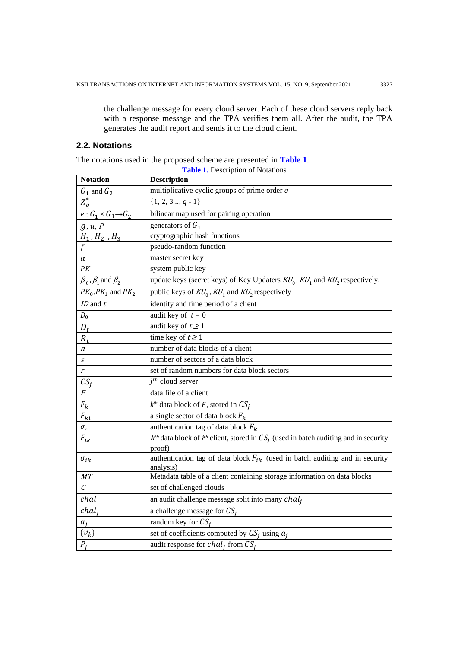the challenge message for every cloud server. Each of these cloud servers reply back with a response message and the TPA verifies them all. After the audit, the TPA generates the audit report and sends it to the cloud client.

# **2.2. Notations**

The notations used in the proposed scheme are presented in **Table 1**.

| <b>Notation</b>                     | <b>Description</b>                                                                               |
|-------------------------------------|--------------------------------------------------------------------------------------------------|
| $G_1$ and $G_2$                     | multiplicative cyclic groups of prime order $q$                                                  |
| $Z_q^*$                             | $\{1, 2, 3, q-1\}$                                                                               |
| $e: G_1 \times G_1 \rightarrow G_2$ | bilinear map used for pairing operation                                                          |
| g, u, P                             | generators of $G_1$                                                                              |
| $H_1$ , $H_2$ , $H_3$               | cryptographic hash functions                                                                     |
| $\overline{f}$                      | pseudo-random function                                                                           |
| $\alpha$                            | master secret key                                                                                |
| PК                                  | system public key                                                                                |
| $\beta_0$ , $\beta_1$ and $\beta_2$ | update keys (secret keys) of Key Updaters $KU_0$ , $KU_1$ and $KU_2$ respectively.               |
| $PK_0, PK_1$ and $PK_2$             | public keys of $KU_0$ , $KU_1$ and $KU_2$ respectively                                           |
| $ID$ and $t$                        | identity and time period of a client                                                             |
| $D_0$                               | audit key of $t = 0$                                                                             |
| $D_t$                               | audit key of $t \ge 1$                                                                           |
| $R_t$                               | time key of $t \ge 1$                                                                            |
| $\boldsymbol{n}$                    | number of data blocks of a client                                                                |
| $\boldsymbol{S}$                    | number of sectors of a data block                                                                |
| $\boldsymbol{r}$                    | set of random numbers for data block sectors                                                     |
| $CS_i$                              | $j^{th}$ cloud server                                                                            |
| $\overline{F}$                      | data file of a client                                                                            |
| $F_k$                               | $k^{th}$ data block of F, stored in $CS_i$                                                       |
| $F_{kl}$                            | a single sector of data block $F_k$                                                              |
| $\sigma_{\boldsymbol{k}}$           | authentication tag of data block $F_k$                                                           |
| $F_{ik}$                            | $k^{th}$ data block of $i^{th}$ client, stored in $CS_i$ (used in batch auditing and in security |
|                                     | proof)                                                                                           |
| $\sigma_{ik}$                       | authentication tag of data block $F_{ik}$ (used in batch auditing and in security<br>analysis)   |
| <b>MT</b>                           | Metadata table of a client containing storage information on data blocks                         |
| $\mathcal C$                        | set of challenged clouds                                                                         |
| chal                                | an audit challenge message split into many $chalj$                                               |
| chal <sub>i</sub>                   | a challenge message for $CS_i$                                                                   |
|                                     | random key for $CS_i$                                                                            |
| $\{v_k\}$                           | set of coefficients computed by $CS_i$ using $a_i$                                               |
| $P_i$                               | audit response for $chal_i$ from $CS_i$                                                          |

**Table 1.** Description of Notations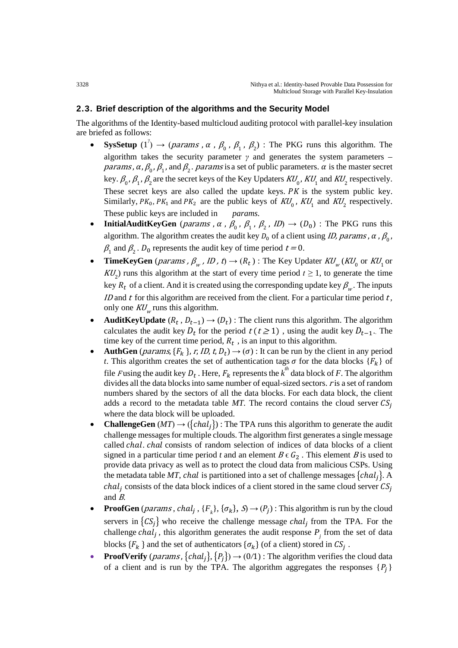# **2.3. Brief description of the algorithms and the Security Model**

The algorithms of the Identity-based multicloud auditing protocol with parallel-key insulation are briefed as follows:

- **SysSetup**  $(1^{\gamma}) \rightarrow (params, \alpha, \beta_0, \beta_1, \beta_2)$ : The PKG runs this algorithm. The algorithm takes the security parameter  $\gamma$  and generates the system parameters – *params,*  $\alpha$ *,*  $\beta_0$ *,*  $\beta_1$ *, and*  $\beta_2$ *. params* is a set of public parameters.  $\alpha$  is the master secret key.  $\beta_0$ ,  $\beta_1$ ,  $\beta_2$  are the secret keys of the Key Updaters  $KU_0$ ,  $KU_1$  and  $KU_2$  respectively. These secret keys are also called the update keys.  $PK$  is the system public key. Similarly,  $PK_0$ ,  $PK_1$  and  $PK_2$  are the public keys of  $KU_0$ ,  $KU_1$  and  $KU_2$  respectively.<br>These public keys are included in *params*. These public keys are included in
- **InitialAuditKeyGen** (*params*,  $\alpha$ ,  $\beta_0$ ,  $\beta_1$ ,  $\beta_2$ ,  $ID$ )  $\rightarrow$  ( $D_0$ ) : The PKG runs this algorithm. The algorithm creates the audit key  $D_0$  of a client using *ID, params*,  $\alpha$ ,  $\beta_0$ ,  $\beta_1$  and  $\beta_2$ .  $D_0$  represents the audit key of time period  $t = 0$ .
- **TimeKeyGen** (*params*,  $\beta_w$ , *ID*, *t*)  $\rightarrow$  ( $R_t$ ) : The Key Updater  $KU_w$  ( $KU_0$  or  $KU_1$  or  $KU_2$ ) runs this algorithm at the start of every time period  $t \ge 1$ , to generate the time key  $R_t$  of a client. And it is created using the corresponding update key  $\beta_{w}$ . The inputs *ID* and  $t$  for this algorithm are received from the client. For a particular time period  $t$ , only one  $KU_w$  runs this algorithm.
- **AuditKeyUpdate**  $(R_t, D_{t-1}) \rightarrow (D_t)$ : The client runs this algorithm. The algorithm calculates the audit key  $D_t$  for the period  $t(t \ge 1)$ , using the audit key  $D_{t-1}$ . The time key of the current time period,  $R_t$ , is an input to this algorithm.
- **AuthGen** (*params*,  ${F_k}$ , *r*, *ID*, *t*, *D<sub>t</sub>*)  $\rightarrow$  ( $\sigma$ ) : It can be run by the client in any period *t*. This algorithm creates the set of authentication tags  $\sigma$  for the data blocks  $\{F_k\}$  of file *F* using the audit key  $D_t$ . Here,  $F_k$  represents the  $k^h$  data block of *F*. The algorithm divides all the data blocks into same number of equal-sized sectors. *r* is a set of random numbers shared by the sectors of all the data blocks. For each data block, the client adds a record to the metadata table *MT*. The record contains the cloud server  $CS_i$ where the data block will be uploaded.
- **ChallengeGen** ( $MT$ )  $\rightarrow$  ({ $chal<sub>i</sub>$ }) : The TPA runs this algorithm to generate the audit challenge messages for multiple clouds. The algorithm first generates a single message called chal. chal consists of random selection of indices of data blocks of a client signed in a particular time period *t* and an element  $B \in G_2$ . This element B is used to provide data privacy as well as to protect the cloud data from malicious CSPs. Using the metadata table *MT*, chal is partitioned into a set of challenge messages  $\{chal_i\}$ . A *chal<sub>j</sub>* consists of the data block indices of a client stored in the same cloud server  $CS_j$ and B*.*
- **ProofGen** (*params*, *chal<sub>j</sub>*, { $F_k$ }, { $\sigma_k$ },  $S$ )  $\rightarrow$  ( $P_j$ ): This algorithm is run by the cloud servers in  $\{CS_i\}$  who receive the challenge message *chal<sub>j</sub>* from the TPA. For the challenge *chal<sub>j</sub>*, this algorithm generates the audit response  $P_i$  from the set of data blocks  ${F_k}$  and the set of authenticators  ${\{\sigma_k\}}$  (of a client) stored in  $CS_i$ .
- **ProofVerify** (*params*, {*chal<sub>i</sub>*}, { $P_i$ })  $\rightarrow$  (0/1) : The algorithm verifies the cloud data of a client and is run by the TPA. The algorithm aggregates the responses  $\{P_i\}$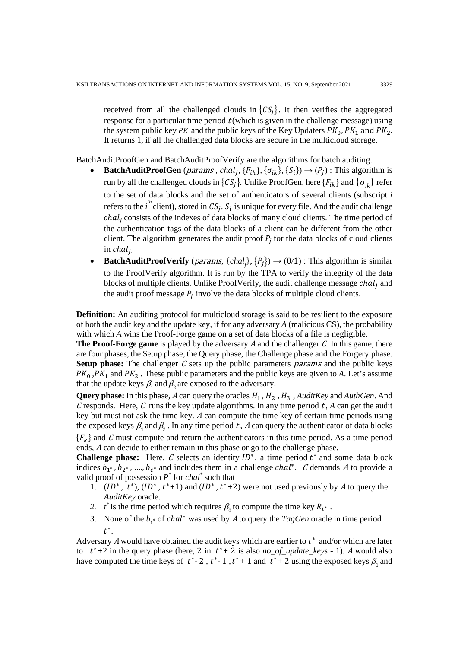received from all the challenged clouds in  $\{CS_i\}$ . It then verifies the aggregated response for a particular time period  $t$  (which is given in the challenge message) using the system public key *PK* and the public keys of the Key Updaters  $PK_0$ ,  $PK_1$  and  $PK_2$ . It returns 1, if all the challenged data blocks are secure in the multicloud storage.

BatchAuditProofGen and BatchAuditProofVerify are the algorithms for batch auditing.

- **BatchAuditProofGen** (*params*, *chal<sub>j</sub>*, { $F_{ik}$ }, { $\sigma_{ik}$ }, { $S_i$ })  $\rightarrow$  ( $P_j$ ) : This algorithm is run by all the challenged clouds in  $\{CS_i\}$ . Unlike ProofGen, here  $\{F_{ik}\}$  and  $\{\sigma_{ik}\}$  refer to the set of data blocks and the set of authenticators of several clients (subscript *i* refers to the *i*<sup>th</sup> client), stored in  $CS_j$ .  $S_i$  is unique for every file. And the audit challenge chal, consists of the indexes of data blocks of many cloud clients. The time period of the authentication tags of the data blocks of a client can be different from the other client. The algorithm generates the audit proof  $P_i$  for the data blocks of cloud clients  $\int$ *in chal<sub>i</sub>*.
- **BatchAuditProofVerify** (*params*, {*chal*<sub>j</sub>}, { $P_j$ })  $\rightarrow$  (0/1) : This algorithm is similar to the ProofVerify algorithm. It is run by the TPA to verify the integrity of the data blocks of multiple clients. Unlike ProofVerify, the audit challenge message  $chal_i$  and the audit proof message  $P_i$  involve the data blocks of multiple cloud clients.

**Definition:** An auditing protocol for multicloud storage is said to be resilient to the exposure of both the audit key and the update key, if for any adversary *A* (malicious CS), the probability with which *A* wins the Proof-Forge game on a set of data blocks of a file is negligible.

**The Proof-Forge game** is played by the adversary A and the challenger C. In this game, there are four phases, the Setup phase, the Query phase, the Challenge phase and the Forgery phase. **Setup phase:** The challenger C sets up the public parameters *params* and the public keys  $PK_0$ ,  $PK_1$  and  $PK_2$ . These public parameters and the public keys are given to A. Let's assume that the update keys  $\beta_1$  and  $\beta_2$  are exposed to the adversary.

**Query phase:** In this phase, A can query the oracles  $H_1$ ,  $H_2$ ,  $H_3$ , *AuditKey* and *AuthGen*. And C responds. Here, C runs the key update algorithms. In any time period  $t$ , A can get the audit key but must not ask the time key. <sup>A</sup> can compute the time key of certain time periods using the exposed keys  $\beta_1$  and  $\beta_2$ . In any time period t, A can query the authenticator of data blocks

 ${F_k}$  and C must compute and return the authenticators in this time period. As a time period ends, <sup>A</sup> can decide to either remain in this phase or go to the challenge phase.

**Challenge phase:** Here,  $C$  selects an identity  $ID^*$ , a time period  $t^*$  and some data block indices  $b_{1^*}$ ,  $b_{2^*}$ , ….,  $b_{c^*}$  and includes them in a challenge *chal*<sup>\*</sup>. *C* demands *A* to provide a valid proof of possession  $P^*$  for *chal*<sup>\*</sup> such that

- 1.  $(ID^*, t^*), (ID^*, t^*+1)$  and  $(ID^*, t^*+2)$  were not used previously by A to query the *AuditKey* oracle.
- *2. t*<sup>\*</sup> is the time period which requires  $\beta_0$  to compute the time key  $R_t^*$ .
- 3. None of the  $b_{k*}$  of *chal*<sup>\*</sup> was used by A to query the *TagGen* oracle in time period  $t^*$ .

Adversary A would have obtained the audit keys which are earlier to  $t^*$  and/or which are later to  $t^*+2$  in the query phase (here, 2 in  $t^*+2$  is also *no\_of\_update\_keys* - 1)*. A* would also have computed the time keys of  $t^*$ -2,  $t^*$ -1,  $t^*$ +1 and  $t^*$ +2 using the exposed keys  $\beta_1$  and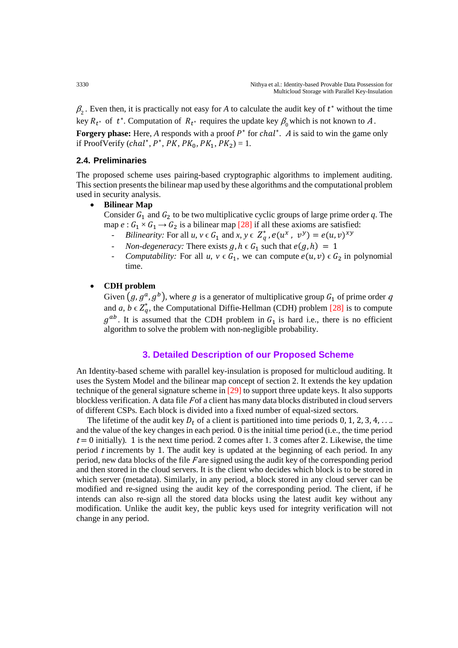$\beta_2$ . Even then, it is practically not easy for *A* to calculate the audit key of  $t^*$  without the time key  $R_{t^*}$  of  $t^*$ . Computation of  $R_{t^*}$  requires the update key  $\beta_0$  which is not known to A. **Forgery phase:** Here, *A* responds with a proof  $P^*$  for *chal*<sup>\*</sup>. A is said to win the game only if ProofVerify (*chal*<sup>\*</sup>,  $P^*$ ,  $PK$ ,  $PK_0$ ,  $PK_1$ ,  $PK_2$ ) = 1.

## **2.4. Preliminaries**

The proposed scheme uses pairing-based cryptographic algorithms to implement auditing. This section presents the bilinear map used by these algorithms and the computational problem used in security analysis.

#### • **Bilinear Map**

Consider  $G_1$  and  $G_2$  to be two multiplicative cyclic groups of large prime order q. The map  $e : G_1 \times G_1 \rightarrow G_2$  is a bilinear map [28] if all these axioms are satisfied:

- *Bilinearity:* For all  $u, v \in G_1$  and  $x, y \in Z_q^*$ ,  $e(u^x, v^y) = e(u, v)^x$
- *- Non-degeneracy:* There exists  $g, h \in G_1$  such that  $e(g, h) = 1$ <br> *Computability:* For all  $u, v \in G_1$ , we can compute  $e(u, v) \in G$
- *Computability:* For all *u*,  $v \in G_1$ , we can compute  $e(u, v) \in G_2$  in polynomial time.

## • **CDH problem**

Given  $(g, g^a, g^b)$ , where g is a generator of multiplicative group  $G_1$  of prime order q and *a*,  $b \in Z_q^*$ , the Computational Diffie-Hellman (CDH) problem [28] is to compute  $g^{ab}$ . It is assumed that the CDH problem in  $G_1$  is hard i.e., there is no efficient algorithm to solve the problem with non-negligible probability.

# **3. Detailed Description of our Proposed Scheme**

An Identity-based scheme with parallel key-insulation is proposed for multicloud auditing. It uses the System Model and the bilinear map concept of section 2. It extends the key updation technique of the general signature scheme in [29] to support three update keys. It also supports blockless verification. A data file  $F$  of a client has many data blocks distributed in cloud servers of different CSPs. Each block is divided into a fixed number of equal-sized sectors.

The lifetime of the audit key  $D_t$  of a client is partitioned into time periods 0, 1, 2, 3, 4, ... and the value of the key changes in each period*.* 0 is the initial time period (i.e., the time period  $t = 0$  initially). 1 is the next time period. 2 comes after 1. 3 comes after 2. Likewise, the time period <sup>t</sup>increments by 1. The audit key is updated at the beginning of each period. In any period, new data blocks of the file F are signed using the audit key of the corresponding period and then stored in the cloud servers. It is the client who decides which block is to be stored in which server (metadata). Similarly, in any period, a block stored in any cloud server can be modified and re-signed using the audit key of the corresponding period. The client, if he intends can also re-sign all the stored data blocks using the latest audit key without any modification. Unlike the audit key, the public keys used for integrity verification will not change in any period.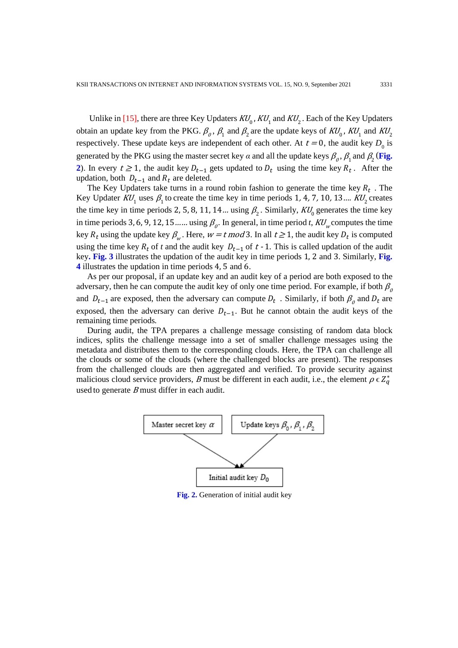Unlike in [15], there are three Key Updaters  $KU_0$ ,  $KU_1$  and  $KU_2$ . Each of the Key Updaters obtain an update key from the PKG.  $\beta_0$ ,  $\beta_1$  and  $\beta_2$  are the update keys of  $KU_0$ ,  $KU_1$  and  $KU_2$ respectively. These update keys are independent of each other. At  $t = 0$ , the audit key  $D_0$  is generated by the PKG using the master secret key  $\alpha$  and all the update keys  $\beta_{\alpha}$ ,  $\beta_{1}$  and  $\beta_{2}$  (**Fig. 2**). In every  $t \ge 1$ , the audit key  $D_{t-1}$  gets updated to  $D_t$  using the time key  $R_t$ . After the updation, both  $D_{t-1}$  and  $R_t$  are deleted.

The Key Updaters take turns in a round robin fashion to generate the time key  $R_t$ . The Key Updater  $KU_1$  uses  $\beta_1$  to create the time key in time periods 1, 4, 7, 10, 13....  $KU_2$  creates the time key in time periods 2, 5, 8, 11, 14... using  $\beta_2$ . Similarly,  $KU_0$  generates the time key in time periods 3, 6, 9, 12, 15 ... using  $\beta$ <sub>0</sub>. In general, in time period *t*,  $KU_w$  computes the time key  $R_t$  using the update key  $\beta_w$ . Here,  $w = t \mod 3$ . In all  $t \ge 1$ , the audit key  $D_t$  is computed using the time key  $R_t$  of t and the audit key  $D_{t-1}$  of t - 1. This is called updation of the audit key**. Fig. 3** illustrates the updation of the audit key in time periods 1, 2 and 3. Similarly, **Fig. 4** illustrates the updation in time periods 4, 5 and 6.

As per our proposal, if an update key and an audit key of a period are both exposed to the adversary, then he can compute the audit key of only one time period. For example, if both  $\beta_0$ and  $D_{t-1}$  are exposed, then the adversary can compute  $D_t$ . Similarly, if both  $\beta_0$  and  $D_t$  are exposed, then the adversary can derive  $D_{t-1}$ . But he cannot obtain the audit keys of the remaining time periods*.*

During audit, the TPA prepares a challenge message consisting of random data block indices, splits the challenge message into a set of smaller challenge messages using the metadata and distributes them to the corresponding clouds. Here, the TPA can challenge all the clouds or some of the clouds (where the challenged blocks are present). The responses from the challenged clouds are then aggregated and verified. To provide security against malicious cloud service providers, B must be different in each audit, i.e., the element  $\rho \in Z_q^*$ used to generate  $B$  must differ in each audit.



**Fig. 2.** Generation of initial audit key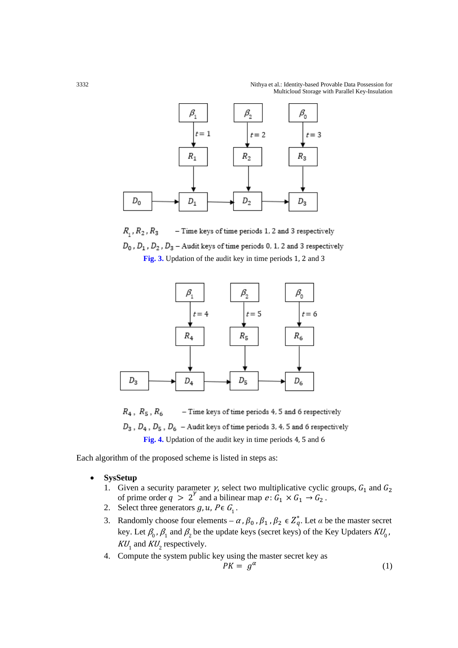

 $R_1, R_2, R_3$ - Time keys of time periods 1, 2 and 3 respectively  $D_0$ ,  $D_1$ ,  $D_2$ ,  $D_3$  – Audit keys of time periods 0, 1, 2 and 3 respectively **Fig. 3.** Updation of the audit key in time periods 1, 2 and 3



 $R_4$ ,  $R_5$ ,  $R_6$ - Time keys of time periods 4, 5 and 6 respectively  $D_3$ ,  $D_4$ ,  $D_5$ ,  $D_6$  - Audit keys of time periods 3, 4, 5 and 6 respectively **Fig. 4.** Updation of the audit key in time periods 4, 5 and 6

Each algorithm of the proposed scheme is listed in steps as:

- **SysSetup**
	- 1. Given a security parameter  $\gamma$ , select two multiplicative cyclic groups,  $G_1$  and  $G_2$ of prime order  $q > 2^{\gamma}$  and a bilinear map  $e : G_1 \times G_1 \to G_2$ .
	- 2. Select three generators  $g, u, P \in G_1$ .
	- 3. Randomly choose four elements  $\alpha$ ,  $\beta_0$ ,  $\beta_1$ ,  $\beta_2 \in Z_q^*$ . Let  $\alpha$  be the master secret key. Let  $\beta_0$ ,  $\beta_1$  and  $\beta_2$  be the update keys (secret keys) of the Key Updaters  $KU_0$ ,  $KU_1$  and  $KU_2$  respectively.
	- 4. Compute the system public key using the master secret key as

$$
PK = g^{\alpha} \tag{1}
$$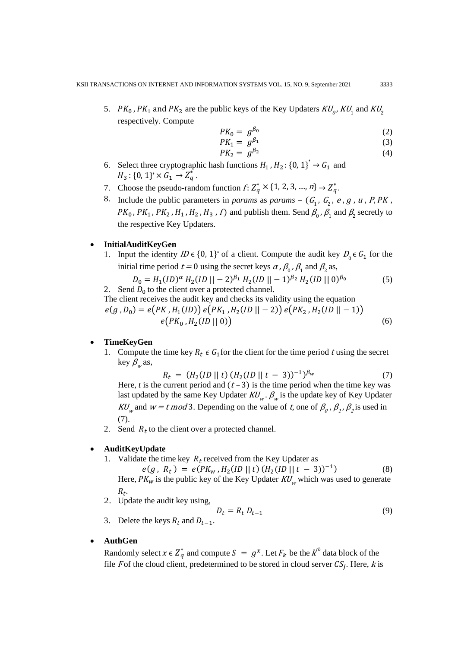5.  $PK_0$ ,  $PK_1$  and  $PK_2$  are the public keys of the Key Updaters  $KU_p$ ,  $KU_1$  and  $KU_2$ respectively. Compute

$$
PK_0 = g_{\rho_0}^{\beta_0} \tag{2}
$$

$$
PK_1 = g_{\rho_1}^{\beta_1} \tag{3}
$$

$$
PK_2 = g^{\beta_2} \tag{4}
$$

- 6. Select three cryptographic hash functions  $H_1$ ,  $H_2$ : {0, 1}<sup>\*</sup>  $\rightarrow$  G<sub>1</sub> and  $H_3: \{0, 1\}^* \times G_1 \to Z_q^*$ .
- 7. Choose the pseudo-random function  $f: Z_q^* \times \{1, 2, 3, ..., n\} \to Z_q^*$ .
- 8. Include the public parameters in *params* as *params* =  $(G_1, G_2, e, g, u, P, PK,$  $PK_0$ ,  $PK_1$ ,  $PK_2$ ,  $H_1$ ,  $H_2$ ,  $H_3$ ,  $f$ ) and publish them. Send  $\beta_0$ ,  $\beta_1$  and  $\beta_2$  secretly to the respective Key Updaters.

#### • **InitialAuditKeyGen**

1. Input the identity  $ID \in \{0, 1\}^*$  of a client. Compute the audit key  $D_0 \in G_1$  for the initial time period  $t = 0$  using the secret keys  $\alpha$ ,  $\beta_0$ ,  $\beta_1$  and  $\beta_2$  as,

$$
D_0 = H_1(ID)^{\alpha} H_2(ID || -2)^{\beta_1} H_2(ID || -1)^{\beta_2} H_2(ID || 0)^{\beta_0}
$$
 (5)  
2. Send  $D_0$  to the client over a protected channel.

 The client receives the audit key and checks its validity using the equation  $e(g, D_0) = e(PK, H_1(ID)) e(PK_1, H_2(ID || - 2)) e(PK_2, H_2(ID || - 1))$  $e(PK_0, H_2(1D \parallel 0))$  (6)

### • **TimeKeyGen**

1. Compute the time key  $R_t \in G_1$  for the client for the time period t using the secret key  $\beta_{w}$  as,

$$
R_t = (H_2(ID || t) (H_2(ID || t - 3))^{-1})^{\beta_w}
$$
 (7)

Here,  $t$  is the current period and  $(t-3)$  is the time period when the time key was last updated by the same Key Updater  $KU_w$ .  $\beta_w$  is the update key of Key Updater KU<sub>w</sub> and  $w = t \mod 3$ . Depending on the value of t, one of  $\beta_0$ ,  $\beta_1$ ,  $\beta_2$  is used in (7).

2. Send  $R_t$  to the client over a protected channel.

## • **AuditKeyUpdate**

1. Validate the time key  $R_t$  received from the Key Updater as

$$
e(g, R_t) = e(PK_w, H_2(ID || t) (H_2(ID || t - 3))^{-1})
$$
 (8)  
Here,  $PK_w$  is the public key of the Key Update  $KU_w$  which was used to generate

 $R_t$ .

2. Update the audit key using,

$$
D_t = R_t D_{t-1}
$$
\n
$$
B_t = R_t D_{t-1}
$$
\n
$$
(9)
$$

#### • **AuthGen**

Randomly select  $x \in Z_q^*$  and compute  $S = g^x$ . Let  $F_k$  be the  $k^{\text{th}}$  data block of the file F of the cloud client, predetermined to be stored in cloud server  $CS_j$ . Here, k is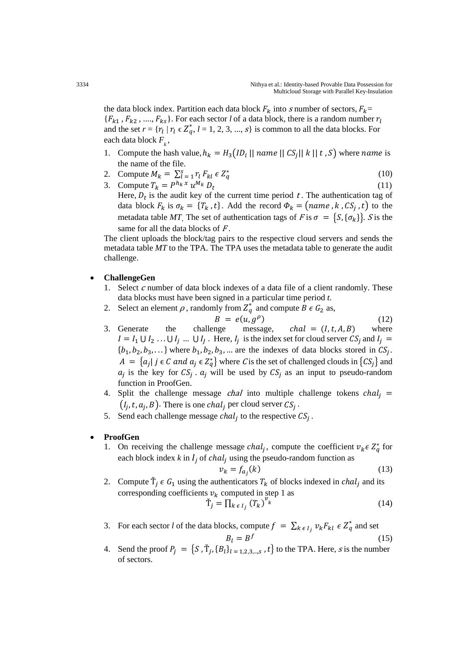the data block index. Partition each data block  $F_k$  into s number of sectors,  $F_k$ =  ${F_{k_1, F_{k_2}, ..., F_{k_s}}$ . For each sector *l* of a data block, there is a random number  $r_l$ and the set  $r = \{r_l | r_l \in \mathbb{Z}_q^*, l = 1, 2, 3, ..., s\}$  is common to all the data blocks. For each data block  $F_k$ ,

- 1. Compute the hash value,  $h_k = H_3(ID_i || name || CS_j || k || t, S)$  where name is the name of the file.
- 2. Compute  $M_k = \sum_{l=1}^{S} \sum_{l=1}^{N_l} F_{kl} \in Z_q^*$  $\stackrel{\ast}{\mathbf{a}}$  (10)
- 3. Compute  $T_k = P^{h_k x} u^{M_k} D_t$  (11) Here,  $D_t$  is the audit key of the current time period t. The authentication tag of data block  $F_k$  is  $\sigma_k = \{T_k, t\}$ . Add the record  $\Phi_k = (name, k, CS_j, t)$  to the metadata table *MT*. The set of authentication tags of F is  $\sigma = \{S, \{\sigma_k\}\}\$ . S is the same for all the data blocks of  $F$ .

The client uploads the block/tag pairs to the respective cloud servers and sends the metadata table *MT* to the TPA. The TPA uses the metadata table to generate the audit challenge.

## • **ChallengeGen**

- 1. Select  $c$  number of data block indexes of a data file of a client randomly. These data blocks must have been signed in a particular time period *t*.
- 2. Select an element  $\rho$ , randomly from  $Z_q^*$  and compute  $B \in G_2$  as,
- $B = e(u, g^{\rho})$  (12)<br>challenge message, *chal* = (*I*, *t*, *A*, *B*) where 3. Generate the challenge message,  $chal = (I, t, A, B)$  $I = I_1 \cup I_2 \ldots \cup I_j \ldots \cup I_l$ . Here,  $I_j$  is the index set for cloud server  $CS_j$  and  $I_j =$  $\{b_1, b_2, b_3, \ldots\}$  where  $b_1, b_2, b_3, \ldots$  are the indexes of data blocks stored in  $CS_i$ .  $A = \{a_j | j \in C \text{ and } a_j \in \mathbb{Z}_q^*\}$  where C is the set of challenged clouds in  $\{CS_j\}$  and  $a_i$  is the key for  $CS_i$ .  $a_i$  will be used by  $CS_i$  as an input to pseudo-random function in ProofGen.
- 4. Split the challenge message *chal* into multiple challenge tokens  $chal_i$  =  $(I_i, t, a_i, B)$ . There is one *chal<sub>i</sub>* per cloud server  $CS_i$ .
- 5. Send each challenge message  $chal_i$  to the respective  $CS_i$ .

#### • **ProofGen**

1. On receiving the challenge message *chal<sub>j</sub>*, compute the coefficient  $v_k \in Z_q^*$  for each block index  $k$  in  $I_i$  of  $chal_i$  using the pseudo-random function as

$$
v_k = f_{a_j}(k) \tag{13}
$$

2. Compute  $\dot{T}_i \in G_1$  using the authenticators  $T_k$  of blocks indexed in *chal<sub>i</sub>* and its corresponding coefficients  $v_k$  computed in step 1 as  $\boldsymbol{v}$ 

$$
\dot{\mathbf{T}}_j = \prod_{k \in I_j} \left( T_k \right)^{\nu_k} \tag{14}
$$

- 3. For each sector *l* of the data blocks, compute  $f = \sum_{k \in I_j} v_k F_{kl} \in Z_q^*$  and set  $B_l = B^f$  (15)
- 4. Send the proof  $P_j = \{S, \dot{T}_j, \{B_l\}_{l=1,2,3,\dots,s}, t\}$  to the TPA. Here, *s* is the number of sectors.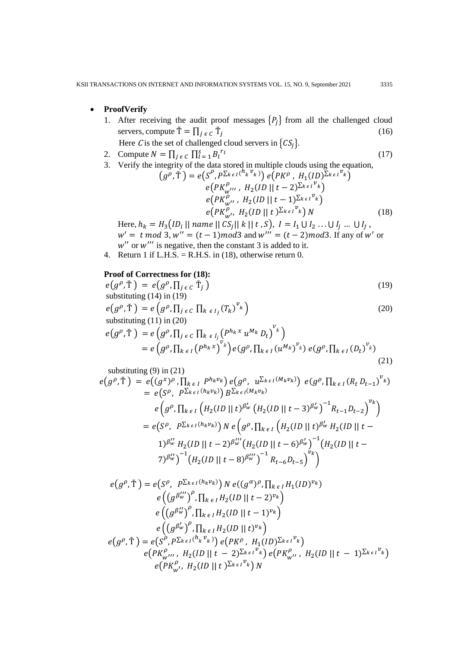## • **ProofVerify**

- 1. After receiving the audit proof messages  $\{P_i\}$  from all the challenged cloud servers, compute  $\check{T} = \prod_{j \in C} \check{T}_j$  (16) Here *C* is the set of challenged cloud servers in  $\{CS_i\}$ .
- 2. Compute  $N = \prod_{j \in C} \prod_{l=1}^{S} B_l^{r_l}$  (17)
- 3. Verify the integrity of the data stored in multiple clouds using the equation,

$$
(g^{\rho}, \check{T}) = e(S^{\rho}, P^{\sum_{k \in I} (h_k v_k)}) e(PK^{\rho}, H_1 (ID)^{\sum_{k \in I} v_k})
$$
  
\n
$$
e(PK^{\rho}_{w''}, H_2 (ID || t - 2)^{\sum_{k \in I} v_k})
$$
  
\n
$$
e(PK^{\rho}_{w''}, H_2 (ID || t - 1)^{\sum_{k \in I} v_k})
$$
  
\n
$$
e(PK^{\rho}_{w'}, H_2 (ID || t)^{\sum_{k \in I} v_k}) N
$$
\n(18)

Here,  $h_k = H_3(1D_i || \text{ name } || C S_j || k || t, S), I = I_1 \cup I_2 ... \cup I_j ... \cup I_J$ ,  $w' = t \mod 3$ ,  $w'' = (t - 1) \mod 3$  and  $w''' = (t - 2) \mod 3$ . If any of w' or  $w''$  or  $w'''$  is negative, then the constant 3 is added to it.

4. Return 1 if L.H.S. = R.H.S. in  $(18)$ , otherwise return 0.

# **Proof of Correctness for (18):**

$$
e(g^{\rho}, \tilde{T}) = e(g^{\rho}, \Pi_{j \in C} \tilde{T}_j)
$$
  
substituting (14) in (19) (19)

$$
e(g^{\rho}, \tilde{T}) = e(g^{\rho}, \prod_{j \in C} \prod_{k \in I_j} (T_k)^{v_k})
$$
  
substituting (11) in (20) (20)

$$
e(g^{\rho}, \tilde{T}) = e(g^{\rho}, \Pi_{j \epsilon c} \Pi_{k \epsilon l_j} (P^{h_k x} u^{M_k} D_t)^{v_k})
$$
  
= 
$$
e(g^{\rho}, \Pi_{k \epsilon l} (P^{h_k x})^{v_k}) e(g^{\rho}, \Pi_{k \epsilon l} (u^{M_k})^{v_k}) e(g^{\rho}, \Pi_{k \epsilon l} (D_t)^{v_k})
$$
(21)

substituting (9) in (21)  
\n
$$
e(g^{\rho}, \tilde{T}) = e((g^x)^{\rho}, \prod_{k \in I} P^{h_k v_k}) e(g^{\rho}, u^{\sum_{k \in I} (M_k v_k)}) e(g^{\rho}, \prod_{k \in I} (R_t D_{t-1})^{v_k})
$$
\n
$$
= e(S^{\rho}, P^{\sum_{k \in I} (h_k v_k)}) B^{\sum_{k \in I} (M_k v_k)}
$$
\n
$$
e(g^{\rho}, \prod_{k \in I} (H_2 (ID || t)^{\beta'_w} (H_2 (ID || t - 3)^{\beta'_w})^{-1} R_{t-1} D_{t-2})^{v_k})
$$
\n
$$
= e(S^{\rho}, P^{\sum_{k \in I} (h_k v_k)}) N e(g^{\rho}, \prod_{k \in I} (H_2 (ID || t)^{\beta'_w} H_2 (ID || t - 1)^{\beta''_w} H_2 (ID || t - 1)^{\beta''_w} H_2 (ID || t - 2)^{\beta'''_w} (H_2 (ID || t - 6)^{\beta'_w})^{-1} (H_2 (ID || t - 7)^{\beta''_w})^{-1} (H_2 (ID || t - 8)^{\beta'''_w})^{-1} R_{t-6} D_{t-5})^{v_k})
$$

$$
e(g^{\rho}, \check{T}) = e(S^{\rho}, P^{\Sigma_{k \in I}(h_{k}v_{k})}) N e((g^{\alpha})^{\rho}, \prod_{k \in I} H_{1}(ID)^{v_{k}})
$$
  
\n
$$
e((g^{\beta_{w}^{''}})^{\rho}, \prod_{k \in I} H_{2}(ID \mid I - 2)^{v_{k}})
$$
  
\n
$$
e((g^{\beta_{w}^{''}})^{\rho}, \prod_{k \in I} H_{2}(ID \mid I - 1)^{v_{k}})
$$
  
\n
$$
e((g^{\beta_{w}^{'}})^{\rho}, \prod_{k \in I} H_{2}(ID \mid I)^{v_{k}})
$$
  
\n
$$
e(g^{\rho}, \check{T}) = e(S^{\rho}, P^{\Sigma_{k \in I}(h_{k}v_{k})}) e(PK^{\rho}, H_{1}(ID)^{\Sigma_{k \in I}v_{k}})
$$
  
\n
$$
e(PK^{\rho}_{w''}, H_{2}(ID \mid I - 2)^{\Sigma_{k \in I}v_{k}}) e(PK^{\rho}_{w''}, H_{2}(ID \mid I - 1)^{\Sigma_{k \in I}v_{k}})
$$
  
\n
$$
e(PK^{\rho}_{w''}, H_{2}(ID \mid I)^{\Sigma_{k \in I}v_{k}}) N
$$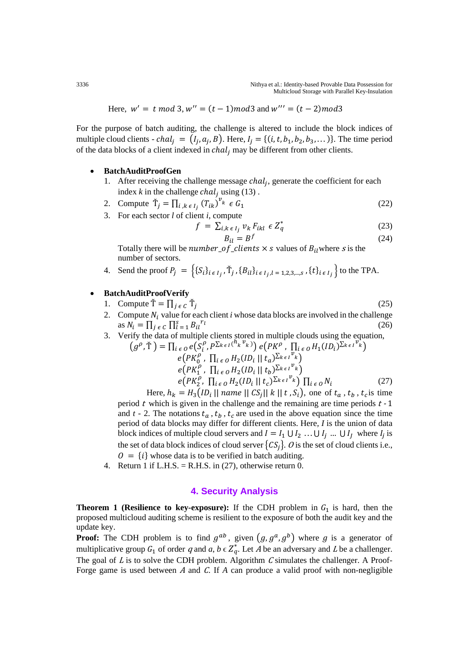Here,  $w' = t \mod 3$ ,  $w'' = (t - 1) \mod 3$  and  $w''' = (t - 2) \mod 3$ 

For the purpose of batch auditing, the challenge is altered to include the block indices of multiple cloud clients - *chal*<sub>i</sub> =  $(I_i, a_i, B)$ . Here,  $I_i = \{(i, t, b_1, b_2, b_3, \dots)\}$ . The time period of the data blocks of a client indexed in  $chal_i$  may be different from other clients.

#### • **BatchAuditProofGen**

- 1. After receiving the challenge message  $chal_i$ , generate the coefficient for each index  $k$  in the challenge  $chal_j$  using (13).
- 2. Compute  $\check{T}_j = \prod_{i,k \in I_j} (T_{ik})^v$  $i, k \epsilon I_j (T_{ik})^{\nu_k} \epsilon G_1$  (22)
- 3. For each sector *l* of client *i*, compute

$$
f = \sum_{i,k \in I_j} v_k F_{ikl} \in Z_q^*
$$
 (23)

$$
B_{il} = B^f \tag{24}
$$

Totally there will be *number\_of\_clients*  $\times$  *s* values of  $B_{il}$  where *s* is the number of sectors.

4. Send the proof  $P_j = \{ \{S_i\}_{i \in I_j}, \tilde{T}_j, \{B_{il}\}_{i \in I_j, l = 1, 2, 3, \dots, s}, \{t\}_{i \in I_j} \}$  to the TPA.

### • **BatchAuditProofVerify**

\n- 1. Compute 
$$
\tilde{T} = \prod_{j \in C} \tilde{T}_j
$$
 (25)
\n- 2. Compute  $N_i$  value for each client *i* whose data blocks are involved in the challenge as  $N_i = \prod_{j \in C} \prod_{i=1}^{s} B_{il}^{r_i}$  (26)
\n

3. Verify the data of multiple clients stored in multiple clouds using the equation,

$$
(g^{\rho}, \tilde{T}) = \prod_{i \in O} e(S_i^{\rho}, P^{\sum_{k \in I} (h_k v_k)}) e(PK^{\rho}, \prod_{i \in O} H_1(ID_i)^{\sum_{k \in I} v_k})
$$
  
\n
$$
e(PK_0^{\rho}, \prod_{i \in O} H_2(ID_i || t_a)^{\sum_{k \in I} v_k})
$$
  
\n
$$
e(PK_1^{\rho}, \prod_{i \in O} H_2(ID_i || t_b)^{\sum_{k \in I} v_k})
$$
  
\n
$$
e(PK_2^{\rho}, \prod_{i \in O} H_2(ID_i || t_c)^{\sum_{k \in I} v_k}) \prod_{i \in O} N_i
$$
 (27)

Here,  $h_k = H_3(ID_i || name || CS_i || k || t, S_i)$ , one of  $t_a$ ,  $t_b$ ,  $t_c$  is time period  $t$  which is given in the challenge and the remaining are time periods  $t - 1$ and  $t - 2$ . The notations  $t_a$ ,  $t_b$ ,  $t_c$  are used in the above equation since the time period of data blocks may differ for different clients. Here*, I* is the union of data block indices of multiple cloud servers and  $I = I_1 \cup I_2 ... \cup I_j ... \cup I_l$  where  $I_j$  is the set of data block indices of cloud server  $\{CS_i\}$ . O is the set of cloud clients i.e.,  $0 = \{i\}$  whose data is to be verified in batch auditing.

4. Return 1 if L.H.S. = R.H.S. in  $(27)$ , otherwise return 0.

## **4. Security Analysis**

**Theorem 1 (Resilience to key-exposure):** If the CDH problem in  $G_1$  is hard, then the proposed multicloud auditing scheme is resilient to the exposure of both the audit key and the update key.

**Proof:** The CDH problem is to find  $g^{ab}$ , given  $(g, g^a, g^b)$  where g is a generator of multiplicative group  $G_1$  of order q and  $a, b \in \mathbb{Z}_q^*$ . Let A be an adversary and L be a challenger. The goal of  $L$  is to solve the CDH problem. Algorithm  $C$  simulates the challenger. A Proof-Forge game is used between A and C. If A can produce a valid proof with non-negligible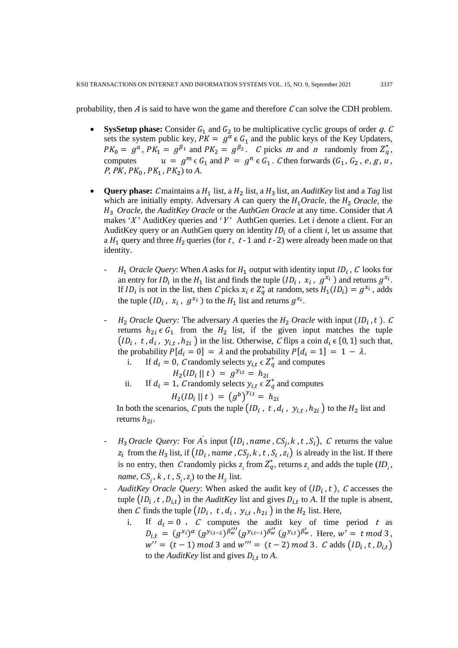probability, then  $\vec{A}$  is said to have won the game and therefore  $\vec{C}$  can solve the CDH problem.

- **SysSetup phase:** Consider  $G_1$  and  $G_2$  to be multiplicative cyclic groups of order q. C sets the system public key,  $PK = g^{\alpha} \in G_1$  and the public keys of the Key Updaters,  $PK_0 = g^a$ ,  $PK_1 = g^{\beta_1}$  and  $PK_2 = g^{\beta_2}$ . *C* picks *m* and *n* randomly from  $Z_q^*$ , computes  $u = g^m \epsilon G_1$  and  $P = g^n \epsilon G_1$ . C then forwards  $(G_1, G_2, e, g, u)$ , *P*, *PK* ,  $PK_0$  ,  $PK_1$  ,  $PK_2$ ) to *A*.
- **Query phase:** C maintains a  $H_1$  list, a  $H_2$  list, a  $H_3$  list, an *AuditKey* list and a *Tag* list which are initially empty. Adversary  $A$  can query the  $H_1 Oracle$ , the  $H_2 Oracle$ , the 3 *Oracle*, the *AuditKey Oracle* or the *AuthGen Oracle* at any time. Consider that *A* makes 'X' AuditKey queries and 'Y' AuthGen queries. Let *i* denote a client. For an AuditKey query or an AuthGen query on identity  $ID_i$  of a client *i*, let us assume that a  $H_1$  query and three  $H_2$  queries (for t, t - 1 and t - 2) were already been made on that identity.
	- $H_1$  *Oracle Query*: When *A* asks for  $H_1$  output with identity input  $ID_i$ , *C* looks for an entry for  $ID_i$  in the  $H_1$  list and finds the tuple  $(ID_i, x_i, g^{x_i})$  and returns  $g^{x_i}$ . If  $ID_i$  is not in the list, then C picks  $x_i \in Z_q^*$  at random, sets  $H_1(ID_i) = g^{x_i}$ , adds the tuple  $(ID_i, x_i, g^{x_i})$  to the  $H_1$  list and returns  $g^{x_i}$ .
	- $H_2$  *Oracle Query:* The adversary *A* queries the  $H_2$  *Oracle* with input ( $ID_i$ , t). C returns  $h_{2i} \in G_1$  from the  $H_2$  list, if the given input matches the tuple  $\left( ID_i, t, d_i, y_{i,t}, h_{2i} \right)$  in the list. Otherwise, C flips a coin  $d_i \in \{0, 1\}$  such that, the probability  $P[d_i = 0] = \lambda$  and the probability  $P[d_i = 1] = 1 - \lambda$ .<br>i. If  $d_i = 0$ , C randomly selects  $y_{i,t} \in \mathbb{Z}_n^*$  and computes

i. If 
$$
d_i = 0
$$
, *C* randomly selects  $y_{i,t} \in Z_q^*$  and computes  

$$
H_2(ID_i \mid \mid t) = g^{y_{i,t}} = h_{2i}
$$

ii. If 
$$
d_i = 1
$$
, *C* randomly selects  $y_{i,t} \in Z_q^*$  and computes  

$$
H_2(ID_i || t) = (g^b)^{y_{i,t}} = h_{2i}
$$

In both the scenarios, C puts the tuple  $(ID_i, t, d_i, y_{i,t}, h_{2i})$  to the  $H_2$  list and returns  $h_{2i}$ .

- $H_3$  *Oracle Query:* For *A*<sup>s</sup> input  $\left($ ID<sub>i</sub>, *name*,  $CS_i$ , *k*, *t*,  $S_i$ ), *C* returns the value  $z_i$  from the  $H_3$  list, if  $\left( ID_i \right)$ , name,  $CS_j$ , k, t,  $S_i$ ,  $z_i$ ) is already in the list. If there is no entry, then C randomly picks  $z_i$  from  $Z_q^*$ , returns  $z_i$  and adds the tuple  $(ID_i, j)$ *name*,  $CS_j$ ,  $k$  ,  $t$  ,  $S_i$ ,  $z_i$ ) to the  $H_j$  list.
- AuditKey Oracle Query: When asked the audit key of  $(ID_i, t)$ ,  $C$  accesses the tuple  $(ID_i, t, D_{i,t})$  in the *AuditKey* list and gives  $D_{i,t}$  to *A*. If the tuple is absent, then C finds the tuple  $\left( ID_i, t, d_i, y_{i,t}, h_{2i} \right)$  in the  $H_2$  list. Here,<br>i. If  $d_i = 0$ , C computes the audit key of time
	- If  $d_i = 0$ , C computes the audit key of time period t as  $\mathcal{L}_{i,t} = (g^{x_i})^{\alpha} (g^{y_{i,t-2}})^{\beta_{w}'''}(g^{y_{i,t-1}})^{\beta_{w}''}(g^{y_{i,t}})^{\beta_{w}''}$ . Here,  $w' = t \mod 3$ ,  $w'' = (t - 1) \mod 3$  and  $w''' = (t - 2) \mod 3$ . C adds  $(ID_i, t, D_{i,t})$ to the *AuditKey* list and gives  $D_{i,t}$  to *A*.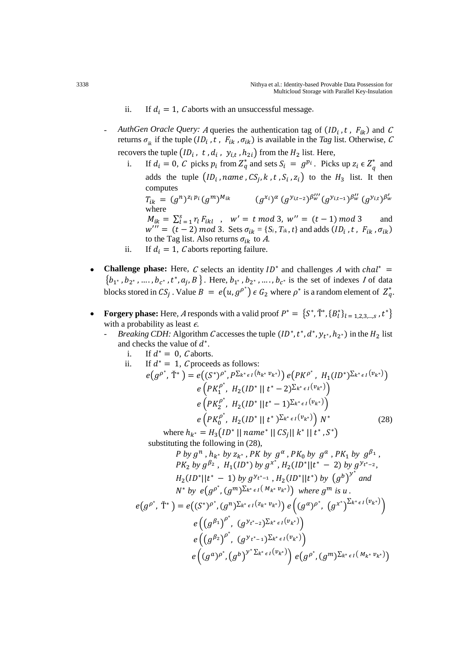- ii. If  $d_i = 1$ , C aborts with an unsuccessful message.
- AuthGen Oracle Query: A queries the authentication tag of  $(ID_i, t, F_{ik})$  and C returns  $\sigma_{ik}$  if the tuple ( $ID_i$ ,  $t$ ,  $F_{ik}$ ,  $\sigma_{ik}$ ) is available in the *Tag* list. Otherwise, C recovers the tuple  $\left( ID_i, t, d_i, y_{i,t}, h_{2i} \right)$  from the  $H_2$  list. Here,<br>i. If  $d_i = 0$ , C picks  $p_i$  from  $Z^*_{\alpha}$  and sets  $S_i = g^{p_i}$ . Pick
	- i. If  $d_i = 0$ , C picks  $p_i$  from  $Z_q^*$  and sets  $S_i = g^{p_i}$ . Picks up  $z_i \in Z_q^*$  and adds the tuple  $(ID_i, name, CS_i, k, t, S_i, z_i)$  to the  $H_3$  list. It then computes  $T_{ik} = (g^n)^{z_i p_i} (g^m)^{M_{ik}}$  $\int_{0}^{W'}(g^{y}y_{i,t-1})^{\beta_{W}''}(g^{y}y_{i,t})^{\beta_{W}''}$ where  $M_{ik} = \sum_{l=1}^{S} r_l F_{ikl}$ ,  $w' = t \mod 3$ ,  $w'' = (t-1) \mod 3$  and  $w''' = (t - 2) \mod 3$ . Sets  $\sigma_{ik} = \{S_i, T_{ik}, t\}$  and adds  $(ID_i, t, F_{ik}, \sigma_{ik})$
	- to the Tag list. Also returns  $\sigma_{ik}$  to A. ii. If  $d_i = 1$ , *C* aborts reporting failure.
- **Challenge phase:** Here, C selects an identity  $ID^*$  and challenges A with  $chal^*$  =  ${b_1, b_2, \ldots, b_{c^*}, t^*, a_j, B}$ . Here,  $b_1, b_2, \ldots, b_{c^*}$  is the set of indexes I of data blocks stored in  $CS_j$  . Value  $B = e(u, g^{\rho^*}) \in G_2$  where  $\rho^*$  is a random element of  $Z_q^*$ .
- **Forgery phase:** Here, A responds with a valid proof  $P^* = \{S^*, \check{T}^*, \{B_l^*\}_{l=1,2,3,\ldots,s}, t^*\}$ with a probability as least  $\epsilon$ .
	- *Breaking CDH:* Algorithm C accesses the tuple  $(ID^*, t^*, d^*, y_{t^*}, h_{2^*})$  in the  $H_2$  list and checks the value of  $d^*$ .
		- i. If  $d^* = 0$ , *C* aborts.

ii. If 
$$
d^* = 1
$$
,  $C$  proceeds as follows:  
\n
$$
e(g^{\rho^*}, \tilde{T}^*) = e((S^*)^{\rho^*}, P^{\sum_{k^* \in I} (h_{k^*} v_{k^*})}) e(PK^{\rho^*}, H_1(I D^*)^{\sum_{k^* \in I} (v_{k^*})})
$$
\n
$$
e(PK_1^{\rho^*}, H_2(I D^* || t^* - 2)^{\sum_{k^* \in I} (v_{k^*})})
$$
\n
$$
e(PK_2^{\rho^*}, H_2(I D^* || t^* - 1)^{\sum_{k^* \in I} (v_{k^*})})
$$
\n
$$
e(PK_0^{\rho^*}, H_2(I D^* || t^*)^{\sum_{k^* \in I} (v_{k^*})}) N^*
$$
\n(28)

where  $h_{k^*} = H_3(ID^* || name^* || CS_i || k^* || t^*, S^*)$ substituting the following in (28),

$$
P \text{ by } g^n, h_{k^*} \text{ by } z_{k^*}, PK \text{ by } g^\alpha, PK_0 \text{ by } g^a, PK_1 \text{ by } g^{\beta_1},
$$
\n
$$
PK_2 \text{ by } g^{\beta_2}, H_1(ID^*) \text{ by } g^{x^*}, H_2(ID^*||t^* - 2) \text{ by } g^{y_{t^*-2}},
$$
\n
$$
H_2(ID^*||t^* - 1) \text{ by } g^{y_{t^*-1}}, H_2(ID^*||t^*) \text{ by } (g^b)^{y^*} \text{ and}
$$
\n
$$
N^* \text{ by } e(g^{\rho^*}, (g^m)^{\sum_{k^* \in I} (M_{k^*} v_{k^*})}) \text{ where } g^m \text{ is } u.
$$
\n
$$
e(g^{\rho^*}, \tilde{T}^*) = e((S^*)^{\rho^*}, (g^n)^{\sum_{k^* \in I} (z_{k^*} v_{k^*})}) e((g^{\alpha})^{\rho^*}, (g^{x^*})^{\sum_{k^* \in I} (v_{k^*})})
$$
\n
$$
e((g^{\beta_1})^{\rho^*}, (g^{y_{t^*-2}})^{\sum_{k^* \in I} (v_{k^*})})
$$
\n
$$
e((g^{\beta_2})^{\rho^*}, (g^{y_{t^*-1}})^{\sum_{k^* \in I} (v_{k^*})}) e(g^{\rho^*}, (g^m)^{\sum_{k^* \in I} (M_{k^*} v_{k^*})})
$$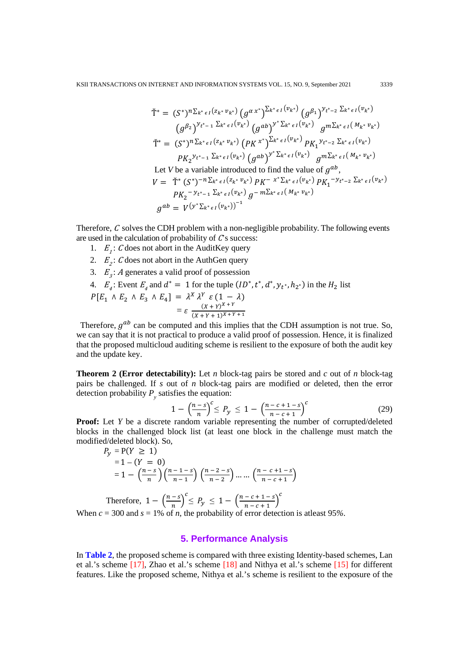$$
\tilde{T}^* = (S^*)^n \Sigma_{k^* \epsilon I} (z_{k^*} v_{k^*}) (g^{\alpha x^*})^{\Sigma_{k^* \epsilon I} (v_{k^*})} (g^{\beta_1})^{y_{t^* - 2}} \Sigma_{k^* \epsilon I} (v_{k^*})
$$
\n
$$
(g^{\beta_2})^{y_{t^* - 1}} \Sigma_{k^* \epsilon I} (v_{k^*}) (g^{ab})^{y^* \Sigma_{k^* \epsilon I} (v_{k^*})} g^{m \Sigma_{k^* \epsilon I} (M_{k^*} v_{k^*})}
$$
\n
$$
\tilde{T}^* = (S^*)^n \Sigma_{k^* \epsilon I} (z_{k^*} v_{k^*}) (p_K x^*)^{\Sigma_{k^* \epsilon I} (v_{k^*})} p_{K_1} y_{t^* - 2} \Sigma_{k^* \epsilon I} (v_{k^*})
$$
\n
$$
P_{K_2} y_{t^* - 1} \Sigma_{k^* \epsilon I} (v_{k^*}) (g^{ab})^{y^* \Sigma_{k^* \epsilon I} (v_{k^*})} g^{m \Sigma_{k^* \epsilon I} (w_{k^*})}
$$
\nLet V be a variable introduced to find the value of  $g^{ab}$ ,\n
$$
V = \tilde{T}^* (S^*)^{-n \Sigma_{k^* \epsilon I} (z_{k^*} v_{k^*})} p_K - x^* \Sigma_{k^* \epsilon I} (v_{k^*})} p_{K_1}^{-y_{t^* - 2} \Sigma_{k^* \epsilon I} (v_{k^*})}
$$
\n
$$
p_{K_2}^{-y_{t^* - 1} \Sigma_{k^* \epsilon I} (v_{k^*})} g^{-m \Sigma_{k^* \epsilon I} (M_{k^*} v_{k^*})}
$$
\n
$$
g^{ab} = V^{(y^* \Sigma_{k^* \epsilon I} (v_{k^*}))^{-1}}
$$

Therefore,  $C$  solves the CDH problem with a non-negligible probability. The following events are used in the calculation of probability of  $C$ s success:

- 1.  $E_i$ : C does not abort in the AuditKey query
- 2.  $E_2$ : C does not abort in the AuthGen query
- 3.  $E<sub>3</sub>$ : A generates a valid proof of possession
- 4.  $E_4$ : Event  $E_4$  and  $d^* = 1$  for the tuple  $(ID^*, t^*, d^*, y_{t^*}, h_{2^*})$  in the  $H_2$  list  $P[E_1 \wedge E_2 \wedge E_3 \wedge E_4] = \lambda^X \lambda^Y \varepsilon (1 - \lambda)$  $= \varepsilon \frac{(X+Y)^{X+Y}}{(X+Y+1)^{X+Y+1}}$

Therefore,  $q^{ab}$  can be computed and this implies that the CDH assumption is not true. So, we can say that it is not practical to produce a valid proof of possession. Hence, it is finalized that the proposed multicloud auditing scheme is resilient to the exposure of both the audit key and the update key.

**Theorem 2 (Error detectability):** Let *n* block-tag pairs be stored and *c* out of *n* block-tag pairs be challenged. If *s* out of *n* block-tag pairs are modified or deleted, then the error detection probability  $P_{y}$  satisfies the equation:

$$
1 - \left(\frac{n-s}{n}\right)^{c} \le P_{y} \le 1 - \left(\frac{n-c+1-s}{n-c+1}\right)^{c}
$$
 (29)

**Proof:** Let *Y* be a discrete random variable representing the number of corrupted/deleted blocks in the challenged block list (at least one block in the challenge must match the modified/deleted block). So,

$$
P_y = P(Y \ge 1)
$$
  
= 1 - (Y = 0)  
= 1 -  $\left(\frac{n-s}{n}\right) \left(\frac{n-1-s}{n-1}\right) \left(\frac{n-2-s}{n-2}\right) \dots \dots \left(\frac{n-c+1-s}{n-c+1}\right)$ 

Therefore,  $1 - \left(\frac{n-s}{n}\right)$  $\leq P_y \leq 1 - \left(\frac{n-c+1-s}{n-c+1}\right)$  $\mathcal{C}_{\mathcal{C}_{\mathcal{C}}}$ When  $c = 300$  and  $s = 1\%$  of *n*, the probability of error detection is at least 95%.

# **5. Performance Analysis**

In **Table 2**, the proposed scheme is compared with three existing Identity-based schemes, Lan et al.'s scheme [17], Zhao et al.'s scheme [18] and Nithya et al.'s scheme [15] for different features. Like the proposed scheme, Nithya et al.'s scheme is resilient to the exposure of the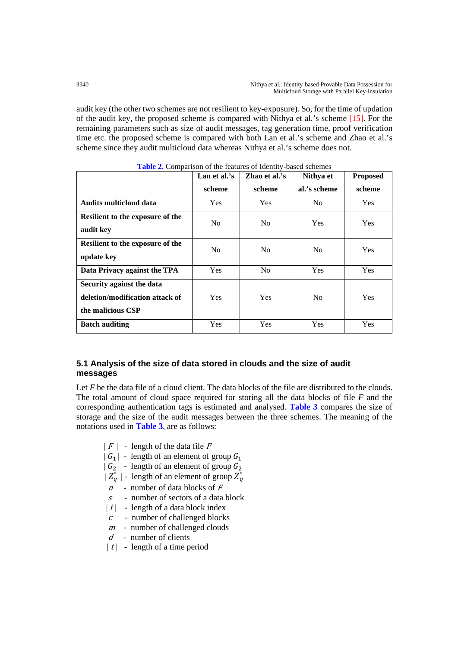audit key (the other two schemes are not resilient to key-exposure). So, for the time of updation of the audit key, the proposed scheme is compared with Nithya et al.'s scheme [15]. For the remaining parameters such as size of audit messages, tag generation time, proof verification time etc. the proposed scheme is compared with both Lan et al.'s scheme and Zhao et al.'s scheme since they audit multicloud data whereas Nithya et al.'s scheme does not.

|                                                                                   | Lan et al.'s   | Zhao et al.'s  | Nithya et      | <b>Proposed</b> |
|-----------------------------------------------------------------------------------|----------------|----------------|----------------|-----------------|
|                                                                                   | scheme         | scheme         | al.'s scheme   | scheme          |
| <b>Audits multicloud data</b>                                                     | <b>Yes</b>     | <b>Yes</b>     | N <sub>0</sub> | <b>Yes</b>      |
| Resilient to the exposure of the<br>audit key                                     | N <sub>0</sub> | N <sub>0</sub> | <b>Yes</b>     | <b>Yes</b>      |
| Resilient to the exposure of the<br>update key                                    | N <sub>0</sub> | N <sub>0</sub> | N <sub>0</sub> | <b>Yes</b>      |
| Data Privacy against the TPA                                                      | <b>Yes</b>     | N <sub>0</sub> | <b>Yes</b>     | <b>Yes</b>      |
| Security against the data<br>deletion/modification attack of<br>the malicious CSP | <b>Yes</b>     | Yes            | N <sub>0</sub> | <b>Yes</b>      |
| <b>Batch auditing</b>                                                             | <b>Yes</b>     | <b>Yes</b>     | <b>Yes</b>     | Yes             |

**Table 2.** Comparison of the features of Identity-based schemes

# **5.1 Analysis of the size of data stored in clouds and the size of audit messages**

Let *F* be the data file of a cloud client. The data blocks of the file are distributed to the clouds. The total amount of cloud space required for storing all the data blocks of file *F* and the corresponding authentication tags is estimated and analysed. **Table 3** compares the size of storage and the size of the audit messages between the three schemes. The meaning of the notations used in **Table 3**, are as follows:

- $|F|$  length of the data file F
- $| G_1 |$  length of an element of group  $G_1$
- $|G_2|$  length of an element of group  $G_2$
- $\left|Z_q^*\right|$  length of an element of group  $Z_q^*$
- $n$  number of data blocks of  $F$
- <sup>s</sup> number of sectors of a data block
- $|i|$  length of a data block index
- <sup>c</sup> number of challenged blocks
- $m$  number of challenged clouds
- $d$  number of clients
- $|t|$  length of a time period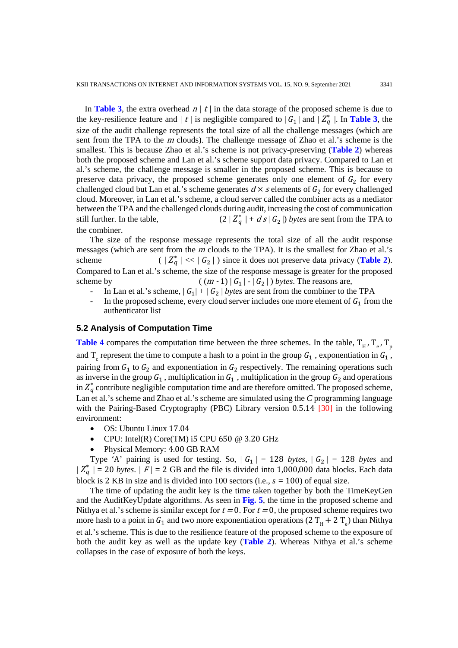In **Table 3**, the extra overhead  $n / t /$  in the data storage of the proposed scheme is due to the key-resilience feature and  $/ t / i$  is negligible compared to  $|G_1|$  and  $/Z_q^*$  |. In **Table 3**, the size of the audit challenge represents the total size of all the challenge messages (which are sent from the TPA to the <sup>m</sup> clouds). The challenge message of Zhao et al.'s scheme is the smallest. This is because Zhao et al.'s scheme is not privacy-preserving (**Table 2**) whereas both the proposed scheme and Lan et al.'s scheme support data privacy. Compared to Lan et al.'s scheme, the challenge message is smaller in the proposed scheme. This is because to preserve data privacy, the proposed scheme generates only one element of  $G_2$  for every challenged cloud but Lan et al.'s scheme generates  $d \times s$  elements of  $G_2$  for every challenged cloud. Moreover, in Lan et al.'s scheme, a cloud server called the combiner acts as a mediator between the TPA and the challenged clouds during audit, increasing the cost of communication still further. In the table,  $(2 / Z<sub>a</sub><sup>*</sup> + ds | G<sub>2</sub>|)$  *bytes* are sent from the TPA to the combiner.

The size of the response message represents the total size of all the audit response messages (which are sent from the <sup>m</sup> clouds to the TPA). It is the smallest for Zhao et al.'s scheme (  $|Z_q^*| \ll |G_2|$ ) since it does not preserve data privacy (**Table 2**). Compared to Lan et al.'s scheme, the size of the response message is greater for the proposed scheme by  $((m-1) | G_1 | - | G_2 |)$  *bytes*. The reasons are,

- In Lan et al.'s scheme,  $| G_1 | + | G_2 |$  *bytes* are sent from the combiner to the TPA
- In the proposed scheme, every cloud server includes one more element of  $G_1$  from the authenticator list

#### **5.2 Analysis of Computation Time**

**Table 4** compares the computation time between the three schemes. In the table,  $T_{H}$ ,  $T_{e}$ ,  $T_{n}$ and  $T_c$  represent the time to compute a hash to a point in the group  $G_1$ , exponentiation in  $G_1$ , pairing from  $G_1$  to  $G_2$  and exponentiation in  $G_2$  respectively. The remaining operations such as inverse in the group  $G_1$ , multiplication in  $G_1$ , multiplication in the group  $G_2$  and operations in  $Z_q^*$  contribute negligible computation time and are therefore omitted. The proposed scheme, Lan et al.'s scheme and Zhao et al.'s scheme are simulated using the *C* programming language with the Pairing-Based Cryptography (PBC) Library version 0.5.14 [30] in the following environment:

- OS: Ubuntu Linux 17.04
- CPU: Intel(R) Core(TM) i5 CPU 650  $@$  3.20 GHz
- Physical Memory: 4.00 GB RAM

Type 'A' pairing is used for testing. So,  $|G_1| = 128$  *bytes*,  $|G_2| = 128$  *bytes* and  $|Z_q^*|$  = 20 *bytes.*  $|F|$  = 2 GB and the file is divided into 1,000,000 data blocks. Each data block is 2 KB in size and is divided into 100 sectors (i.e., *s =* 100) of equal size.

The time of updating the audit key is the time taken together by both the TimeKeyGen and the AuditKeyUpdate algorithms. As seen in **Fig. 5**, the time in the proposed scheme and Nithya et al.'s scheme is similar except for  $t = 0$ . For  $t = 0$ , the proposed scheme requires two more hash to a point in  $G_1$  and two more exponentiation operations (2 T<sub>H</sub> + 2 T<sub>e</sub>) than Nithya et al.'s scheme. This is due to the resilience feature of the proposed scheme to the exposure of both the audit key as well as the update key (**Table 2**). Whereas Nithya et al.'s scheme collapses in the case of exposure of both the keys.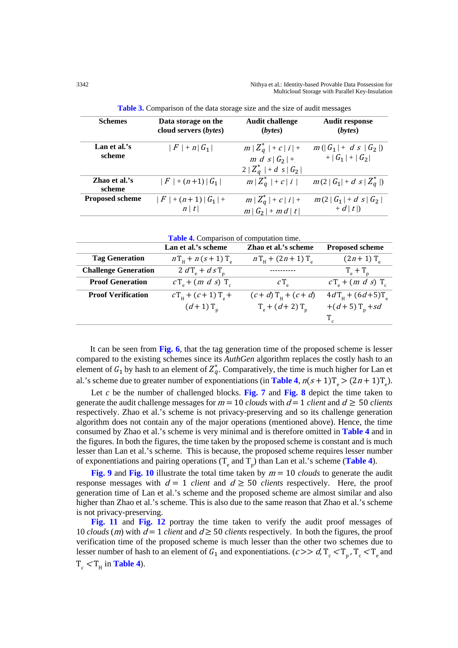| <b>Schemes</b>          | Data storage on the            | <b>Audit challenge</b>                             | <b>Audit response</b>       |
|-------------------------|--------------------------------|----------------------------------------------------|-----------------------------|
|                         | cloud servers ( <i>bytes</i> ) | (bytes)                                            | (bvtes)                     |
| Lan et al.'s            | $ F  + n  G_1 $                | $m/Z_q^*$   + $c$   $i$   +                        | $m( G_1  + d s/G_2 )$       |
| scheme                  |                                | $m d s  G_2  +$                                    | $+  G_1  +  G_2 $           |
| Zhao et al.'s<br>scheme | $ F  + (n+1)  G_1 $            | $2/Z_q^*$   + d s   $G_2$  <br>$m/Z_q^*$   + c   i | $m(2   G_1  + d s / Z_q^*)$ |
| <b>Proposed scheme</b>  | $ F  + (n+1)  G_1  +$          | $m/Z_q^*$   + $c$   $i$   +                        | $m(2   G_1   + d s/G_2)$    |
|                         | n/t                            | $m G_2 $ + $m d/t$                                 | $+ d/t$ )                   |

**Table 3.** Comparison of the data storage size and the size of audit messages

| <b>Table 4.</b> Comparison of computation time. |  |  |
|-------------------------------------------------|--|--|
|-------------------------------------------------|--|--|

|                             | Lan et al.'s scheme                   | Zhao et al.'s scheme                   | <b>Proposed scheme</b>            |
|-----------------------------|---------------------------------------|----------------------------------------|-----------------------------------|
| <b>Tag Generation</b>       | $nT_{\rm H}$ + $n(s+1)T_{\rm a}$      | $nT_{\rm H}$ + (2n + 1) T <sub>a</sub> | $(2n+1)$ T <sub>a</sub>           |
| <b>Challenge Generation</b> | $2 dT_e + d sT_n$                     |                                        | $T_e + T_p$                       |
| <b>Proof Generation</b>     | $cT_{\rm g}$ + (m d s) T <sub>c</sub> | $C_{\perp}$                            | $cTe + (m d s) Tc$                |
| <b>Proof Verification</b>   | $cT_{\rm H}$ + (c+1) T <sub>a</sub> + | $(c+d)$ T <sub>H</sub> + $(c+d)$       | $4dT_{\rm H} + (6d + 5)T_{\rm g}$ |
|                             | $(d+1)$ T <sub>n</sub>                | $T_{\rm e}$ + (d+2) $T_{\rm n}$        | +(d+5) $T_n + sd$                 |
|                             |                                       |                                        |                                   |

It can be seen from **Fig. 6**, that the tag generation time of the proposed scheme is lesser compared to the existing schemes since its *AuthGen* algorithm replaces the costly hash to an element of  $G_1$  by hash to an element of  $Z_q^*$ . Comparatively, the time is much higher for Lan et al.'s scheme due to greater number of exponentiations (in **Table 4**,  $n(s+1)T_e$ ) =  $(2n+1)T_e$ ).

 Let *c* be the number of challenged blocks. **Fig. 7** and **Fig. 8** depict the time taken to generate the audit challenge messages for  $m = 10$  *clouds* with  $d = 1$  *client* and  $d \geq 50$  *clients* respectively. Zhao et al.'s scheme is not privacy-preserving and so its challenge generation algorithm does not contain any of the major operations (mentioned above). Hence, the time consumed by Zhao et al.'s scheme is very minimal and is therefore omitted in **Table 4** and in the figures. In both the figures, the time taken by the proposed scheme is constant and is much lesser than Lan et al.'s scheme. This is because, the proposed scheme requires lesser number of exponentiations and pairing operations  $(T_e$  and  $T_p)$  than Lan et al.'s scheme (**Table 4**).

 **Fig. 9** and **Fig. 10** illustrate the total time taken by <sup>m</sup> = 10 *clouds* to generate the audit response messages with  $d = 1$  *client* and  $d \ge 50$  *clients* respectively. Here, the proof generation time of Lan et al.'s scheme and the proposed scheme are almost similar and also higher than Zhao et al.'s scheme. This is also due to the same reason that Zhao et al.'s scheme is not privacy-preserving.

 **Fig. 11** and **Fig. 12** portray the time taken to verify the audit proof messages of 10 *clouds* (*m*) with  $d = 1$  *client* and  $d \ge 50$  *clients* respectively. In both the figures, the proof verification time of the proposed scheme is much lesser than the other two schemes due to lesser number of hash to an element of  $G_1$  and exponentiations. ( $c \gg d$ ,  $T_c < T_p$ ,  $T_c < T_e$  and  $T_c < T_H$  in **Table 4**).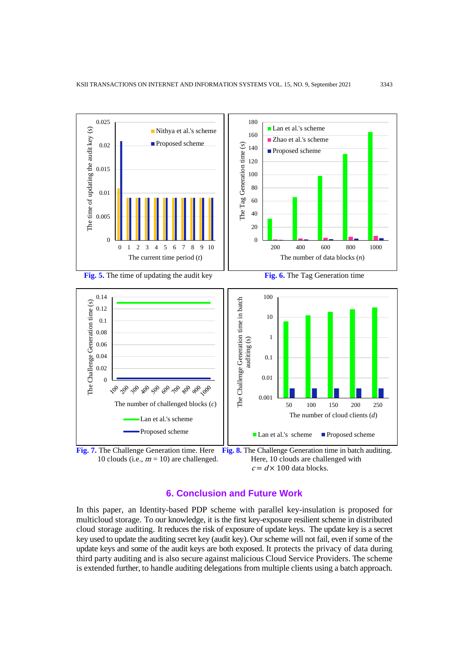



# **6. Conclusion and Future Work**

In this paper, an Identity-based PDP scheme with parallel key-insulation is proposed for multicloud storage. To our knowledge, it is the first key-exposure resilient scheme in distributed cloud storage auditing. It reduces the risk of exposure of update keys. The update key is a secret key used to update the auditing secret key (audit key). Our scheme will not fail, even if some of the update keys and some of the audit keys are both exposed. It protects the privacy of data during third party auditing and is also secure against malicious Cloud Service Providers. The scheme is extended further, to handle auditing delegations from multiple clients using a batch approach.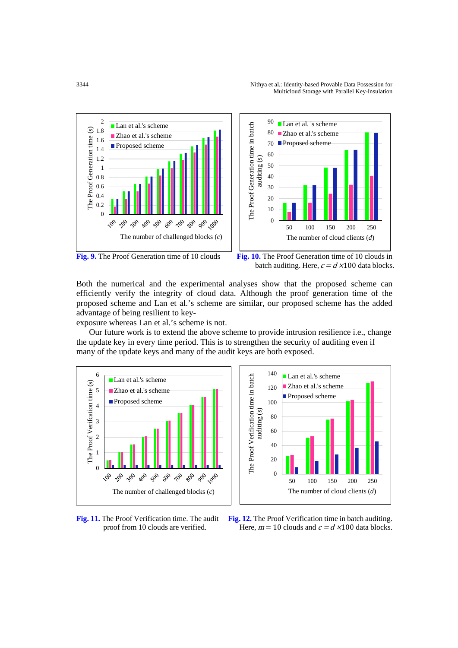

batch auditing. Here,  $c = d \times 100$  data blocks.

Both the numerical and the experimental analyses show that the proposed scheme can efficiently verify the integrity of cloud data. Although the proof generation time of the proposed scheme and Lan et al.'s scheme are similar, our proposed scheme has the added advantage of being resilient to key-

exposure whereas Lan et al.'s scheme is not.

 Our future work is to extend the above scheme to provide intrusion resilience i.e., change the update key in every time period. This is to strengthen the security of auditing even if many of the update keys and many of the audit keys are both exposed.





**Fig. 11.** The Proof Verification time. The audit **Fig. 12.** The Proof Verification time in batch auditing. proof from 10 clouds are verified. Here,  $m = 10$  clouds and  $c = d \times 100$  data blocks.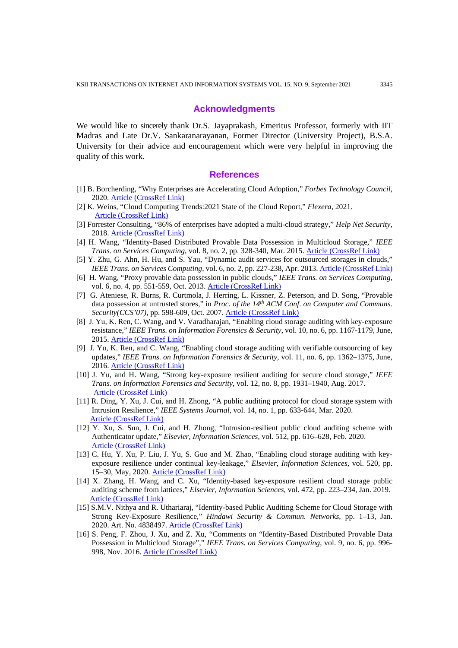#### **Acknowledgments**

We would like to sincerely thank Dr.S. Jayaprakash, Emeritus Professor, formerly with IIT Madras and Late Dr.V. Sankaranarayanan, Former Director (University Project), B.S.A. University for their advice and encouragement which were very helpful in improving the quality of this work.

#### **References**

- [1] B. Borcherding, "Why Enterprises are Accelerating Cloud Adoption," *Forbes Technology Council*, 2020. [Article \(CrossRef Link\)](https://www.forbes.com/sites/forbestechcouncil/2020/07/17/why-enterprises-are-accelerating-cloud-adoption/#75864804f498)
- [2] K. Weins, "Cloud Computing Trends:2021 State of the Cloud Report," *Flexera*, 2021. [Article \(CrossRef Link\)](https://www.flexera.com/blog/industry-trends/trend-of-cloud-computing-2020/)
- [3] Forrester Consulting, "86% of enterprises have adopted a multi-cloud strategy," *Help Net Security*, 2018. [Article \(CrossRef Link\)](https://www.helpnetsecurity.com/2018/07/16/multi-cloud-strat)
- [4] H. Wang, "Identity-Based Distributed Provable Data Possession in Multicloud Storage," *IEEE Trans. on Services Computing*, vol. 8, no. 2, pp. 328-340, Mar. 2015. [Article \(CrossRef Link\)](https://doi.org/10.1109/TSC.2014.1)
- [5] Y. Zhu, G. Ahn, H. Hu, and S. Yau, "Dynamic audit services for outsourced storages in clouds," *IEEE Trans. on Services Computing*, vol. 6, no. 2, pp. 227-238, Apr. 2013[. Article \(CrossRef Link\)](https://doi.org/10.1109/TSC.2011.51)
- [6] H. Wang, "Proxy provable data possession in public clouds," *IEEE Trans. on Services Computing*, vol. 6, no. 4, pp. 551-559, Oct. 2013. Article [\(CrossRef Link\)](https://doi.org/10.1109/TSC.2012.35)
- [7] G. Ateniese, R. Burns, R. Curtmola, J. Herring, L. Kissner, Z. Peterson, and D. Song, "Provable data possession at untrusted stores," in *Proc. of the 14th ACM Conf. on Computer and Communs. Security(CCS'07)*, pp. 598-609, Oct. 2007. Article [\(CrossRef Link\)](https://doi.org/10.1145/1315245.1315318)
- [8] J. Yu, K. Ren, C. Wang, and V. Varadharajan, "Enabling cloud storage auditing with key-exposure resistance," *IEEE Trans. on Information Forensics & Security*, vol. 10, no. 6, pp. 1167-1179, June, 2015. Article [\(CrossRef Link\)](https://doi.org/10.1109/TIFS.2015.2400425)
- [9] J. Yu, K. Ren, and C. Wang, "Enabling cloud storage auditing with verifiable outsourcing of key updates," *IEEE Trans. on Information Forensics & Security*, vol. 11, no. 6, pp. 1362–1375, June, 2016. Article [\(CrossRef Link\)](https://doi.org/10.1109/TIFS.2016.2528500)
- [10] J. Yu, and H. Wang, "Strong key-exposure resilient auditing for secure cloud storage," *IEEE Trans. on Information Forensics and Security*, vol. 12, no. 8, pp. 1931–1940, Aug. 2017. Article [\(CrossRef Link\)](https://doi.org/10.1109/TIFS.2017.2695449)
- [11] R. Ding, Y. Xu, J. Cui, and H. Zhong, "A public auditing protocol for cloud storage system with Intrusion Resilience," *IEEE Systems Journal*, vol. 14, no. 1, pp. 633-644, Mar. 2020. Article [\(CrossRef Link\)](https://doi.org/10.1109/JSYST.2019.2923238)
- [12] Y. Xu, S. Sun, J. Cui, and H. Zhong, "Intrusion-resilient public cloud auditing scheme with Authenticator update," *Elsevier, Information Sciences*, vol. 512, pp. 616–628, Feb. 2020. Article [\(CrossRef Link\)](https://doi.org/10.1016/j.ins.2019.09.080)
- [13] C. Hu, Y. Xu, P. Liu, J. Yu, S. Guo and M. Zhao, "Enabling cloud storage auditing with keyexposure resilience under continual key-leakage," *Elsevier, Information Sciences*, vol. 520, pp. 15–30, May, 2020. Article [\(CrossRef Link\)](https://doi.org/10.1016/j.ins.2020.02.010)
- [14] X. Zhang, H. Wang, and C. Xu, "Identity-based key-exposure resilient cloud storage public auditing scheme from lattices," *Elsevier, Information Sciences*, vol. 472, pp. 223–234, Jan. 2019. Article [\(CrossRef Link\)](https://doi.org/10.1016/j.ins.2018.09.013)
- [15] S.M.V. Nithya and R. Uthariaraj, "Identity-based Public Auditing Scheme for Cloud Storage with Strong Key-Exposure Resilience," *Hindawi Security & Commun. Networks*, pp. 1–13, Jan. 2020. Art. No. 4838497. Article [\(CrossRef Link\)](https://doi.org/10.1155/2020/4838497)
- [16] S. Peng, F. Zhou, J. Xu, and Z. Xu, "Comments on "Identity-Based Distributed Provable Data Possession in Multicloud Storage"," *IEEE Trans. on Services Computing*, vol. 9, no. 6, pp. 996- 998, Nov. 2016. Article [\(CrossRef Link\)](https://doi.org/10.1109/TSC.2016.2589248)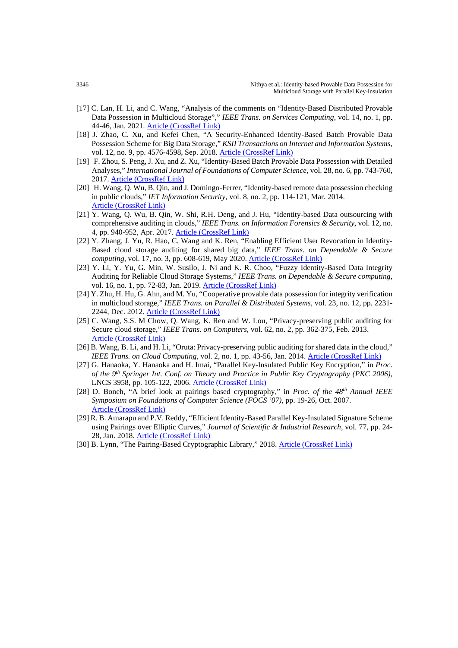- [17] C. Lan, H. Li, and C. Wang, "Analysis of the comments on "Identity-Based Distributed Provable Data Possession in Multicloud Storage"," *IEEE Trans. on Services Computing*, vol. 14, no. 1, pp. 44-46, Jan. 2021. Article [\(CrossRef Link\)](https://doi.org/10.1109/TSC.2017.2778250)
- [18] J. Zhao, C. Xu, and Kefei Chen, "A Security-Enhanced Identity-Based Batch Provable Data Possession Scheme for Big Data Storage," *KSII Transactions on Internet and Information Systems*, vol. 12, no. 9, pp. 4576-4598, Sep. 2018. Article [\(CrossRef Link\)](http://doi.org/doi:10.3837/tiis.2018.09.025)
- [19] F. Zhou, S. Peng, J. Xu, and Z. Xu, "Identity-Based Batch Provable Data Possession with Detailed Analyses," *International Journal of Foundations of Computer Science*, vol. 28, no. 6, pp. 743-760, 2017. Article [\(CrossRef Link\)](https://doi.org/10.1142/S0129054117400160)
- [20] H. Wang, Q. Wu, B. Qin, and J. Domingo-Ferrer, "Identity-based remote data possession checking in public clouds," *IET Information Security*, vol. 8, no. 2, pp. 114-121, Mar. 2014. Article [\(CrossRef Link\)](https://digital-library.theiet.org/content/journals/10.1049/iet-ifs.2012.0271)
- [21] Y. Wang, Q. Wu, B. Qin, W. Shi, R.H. Deng, and J. Hu, "Identity-based Data outsourcing with comprehensive auditing in clouds," *IEEE Trans. on Information Forensics & Security*, vol. 12, no. 4, pp. 940-952, Apr. 2017. [Article \(CrossRef Link\)](https://doi.org/10.1109/TIFS.2016.2646913)
- [22] Y. Zhang, J. Yu, R. Hao, C. Wang and K. Ren, "Enabling Efficient User Revocation in Identity-Based cloud storage auditing for shared big data," *IEEE Trans. on Dependable & Secure computing*, vol. 17, no. 3, pp. 608-619, May 2020[. Article \(CrossRef Link\)](https://doi.org/10.1109/TDSC.2018.2829880)
- [23] Y. Li, Y. Yu, G. Min, W. Susilo, J. Ni and K. R. Choo, "Fuzzy Identity-Based Data Integrity Auditing for Reliable Cloud Storage Systems," *IEEE Trans. on Dependable & Secure computing*, vol. 16, no. 1, pp. 72-83, Jan. 2019. [Article \(CrossRef Link\)](https://doi.org/10.1109/TDSC.2017.2662216)
- [24] Y. Zhu, H. Hu, G. Ahn, and M. Yu, "Cooperative provable data possession for integrity verification in multicloud storage," *IEEE Trans. on Parallel & Distributed Systems*, vol. 23, no. 12, pp. 2231- 2244, Dec. 2012[. Article \(CrossRef Link\)](https://doi.org/10.1109/TPDS.2012.66)
- [25] C. Wang, S.S. M Chow, Q. Wang, K. Ren and W. Lou, "Privacy-preserving public auditing for Secure cloud storage," *IEEE Trans. on Computers*, vol. 62, no. 2, pp. 362-375, Feb. 2013. [Article \(CrossRef Link\)](https://doi.org/10.1109/TC.2011.245)
- [26] B. Wang, B. Li, and H. Li, "Oruta: Privacy-preserving public auditing for shared data in the cloud," *IEEE Trans. on Cloud Computing*, vol. 2, no. 1, pp. 43-56, Jan. 2014. **[Article \(CrossRef Link\)](https://doi.org/10.1109/TCC.2014.2299807)**
- [27] G. Hanaoka, Y. Hanaoka and H. Imai, "Parallel Key-Insulated Public Key Encryption," in *Proc. of the 9th Springer Int. Conf. on Theory and Practice in Public Key Cryptography (PKC 2006)*, LNCS 3958, pp. 105-122, 2006. Article [\(CrossRef Link\)](https://link.springer.com/chapter/10.1007/11745853_8)
- [28] D. Boneh, "A brief look at pairings based cryptography," in *Proc. of the 48th Annual IEEE Symposium on Foundations of Computer Science (FOCS '07)*, pp. 19-26, Oct. 2007. [Article \(CrossRef Link\)](https://doi.org/10.1109/FOCS.2007.51)
- [29] R. B. Amarapu and P.V. Reddy, "Efficient Identity-Based Parallel Key-Insulated Signature Scheme using Pairings over Elliptic Curves," *Journal of Scientific & Industrial Research*, vol. 77, pp. 24- 28, Jan. 2018[. Article \(CrossRef Link\)](http://nopr.niscair.res.in/handle/123456789/43313)
- [30] B. Lynn, "The Pairing-Based Cryptographic Library," 2018. Article [\(CrossRef Link\)](https://crypto.stanford.edu/pbc/)